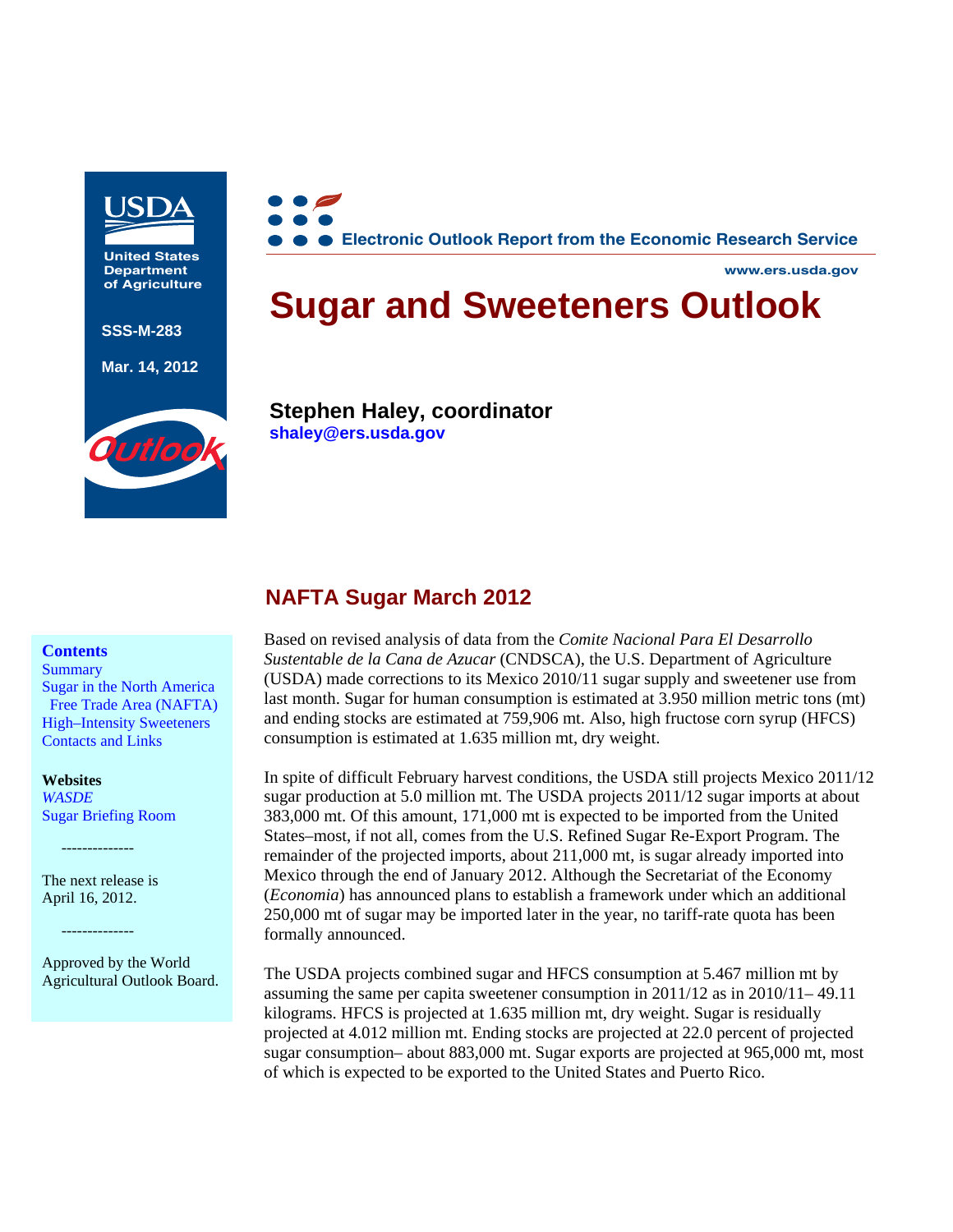

**United States Department of Agriculture**

**SSS-M-283** 

**Mar. 14, 2012** 



**Electronic Outlook Report from the Economic Research Service**

# **Sugar and Sweeteners Outlook**

**www.ers.usda.gov**

**Stephen Haley, coordinator [shaley@ers.usda.gov](mailto:shaley@ers.usda.gov)**

# **NAFTA Sugar March 2012**

#### **Contents**

**Summary** [Sugar in the North America](#page-2-0)  Free Trade Area (NAFTA) [High–Intensity Sweeteners](#page-13-0)  [Contacts and Links](#page-22-0) 

#### **Websites**

*[WASDE](http://usda.mannlib.cornell.edu/MannUsda/viewDocumentInfo.do?documentID=1194)*  [Sugar Briefing Room](http://www.ers.usda.gov/Publications/SSS/)

The next release is April 16, 2012.

 $-$ 

--------------

Approved by the World Agricultural Outlook Board. Based on revised analysis of data from the *Comite Nacional Para El Desarrollo Sustentable de la Cana de Azucar* (CNDSCA), the U.S. Department of Agriculture (USDA) made corrections to its Mexico 2010/11 sugar supply and sweetener use from last month. Sugar for human consumption is estimated at 3.950 million metric tons (mt) and ending stocks are estimated at 759,906 mt. Also, high fructose corn syrup (HFCS) consumption is estimated at 1.635 million mt, dry weight.

In spite of difficult February harvest conditions, the USDA still projects Mexico 2011/12 sugar production at 5.0 million mt. The USDA projects 2011/12 sugar imports at about 383,000 mt. Of this amount, 171,000 mt is expected to be imported from the United States–most, if not all, comes from the U.S. Refined Sugar Re-Export Program. The remainder of the projected imports, about 211,000 mt, is sugar already imported into Mexico through the end of January 2012. Although the Secretariat of the Economy (*Economia*) has announced plans to establish a framework under which an additional 250,000 mt of sugar may be imported later in the year, no tariff-rate quota has been formally announced.

The USDA projects combined sugar and HFCS consumption at 5.467 million mt by assuming the same per capita sweetener consumption in 2011/12 as in 2010/11– 49.11 kilograms. HFCS is projected at 1.635 million mt, dry weight. Sugar is residually projected at 4.012 million mt. Ending stocks are projected at 22.0 percent of projected sugar consumption– about 883,000 mt. Sugar exports are projected at 965,000 mt, most of which is expected to be exported to the United States and Puerto Rico.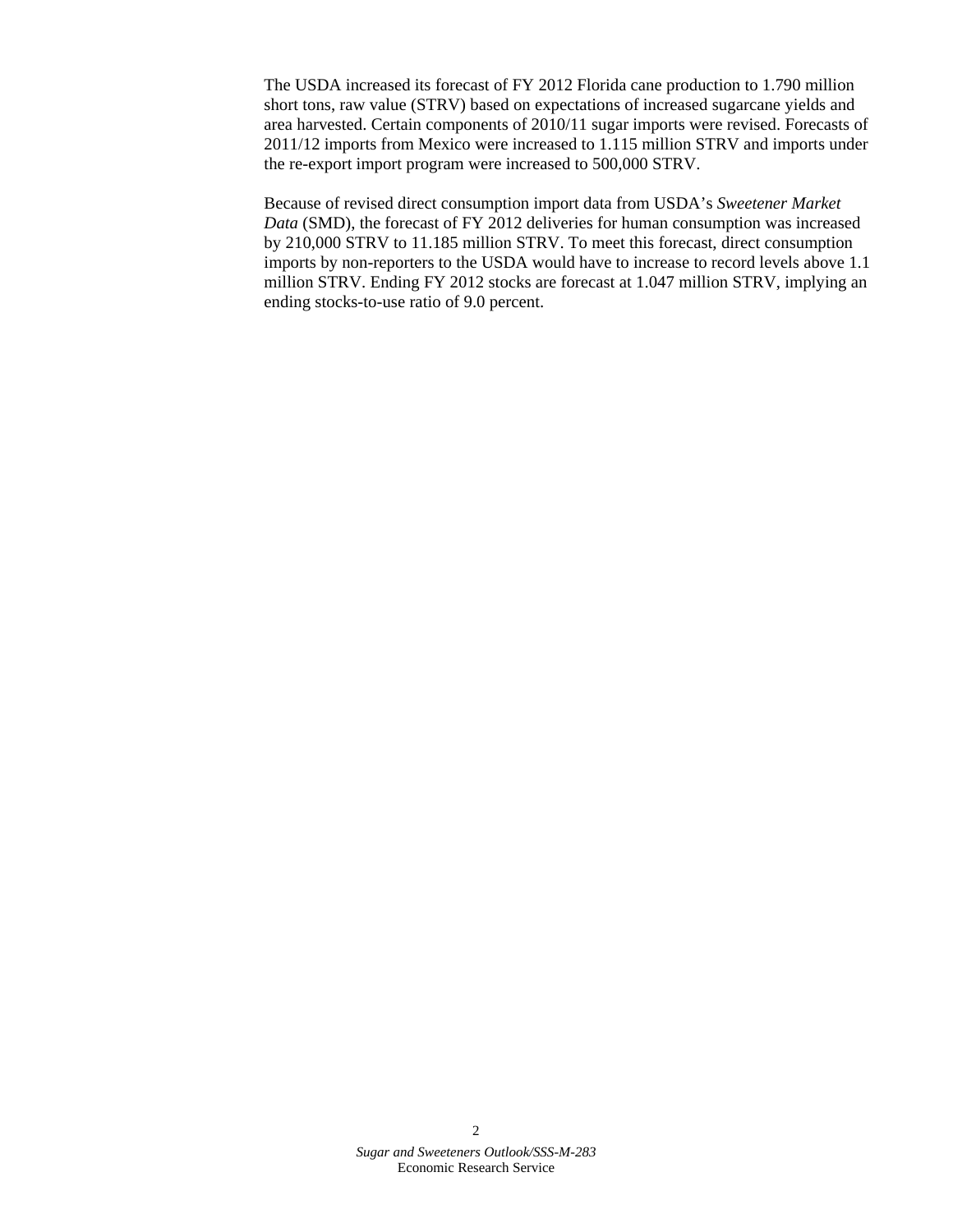The USDA increased its forecast of FY 2012 Florida cane production to 1.790 million short tons, raw value (STRV) based on expectations of increased sugarcane yields and area harvested. Certain components of 2010/11 sugar imports were revised. Forecasts of 2011/12 imports from Mexico were increased to 1.115 million STRV and imports under the re-export import program were increased to 500,000 STRV.

Because of revised direct consumption import data from USDA's *Sweetener Market Data* (SMD), the forecast of FY 2012 deliveries for human consumption was increased by 210,000 STRV to 11.185 million STRV. To meet this forecast, direct consumption imports by non-reporters to the USDA would have to increase to record levels above 1.1 million STRV. Ending FY 2012 stocks are forecast at 1.047 million STRV, implying an ending stocks-to-use ratio of 9.0 percent.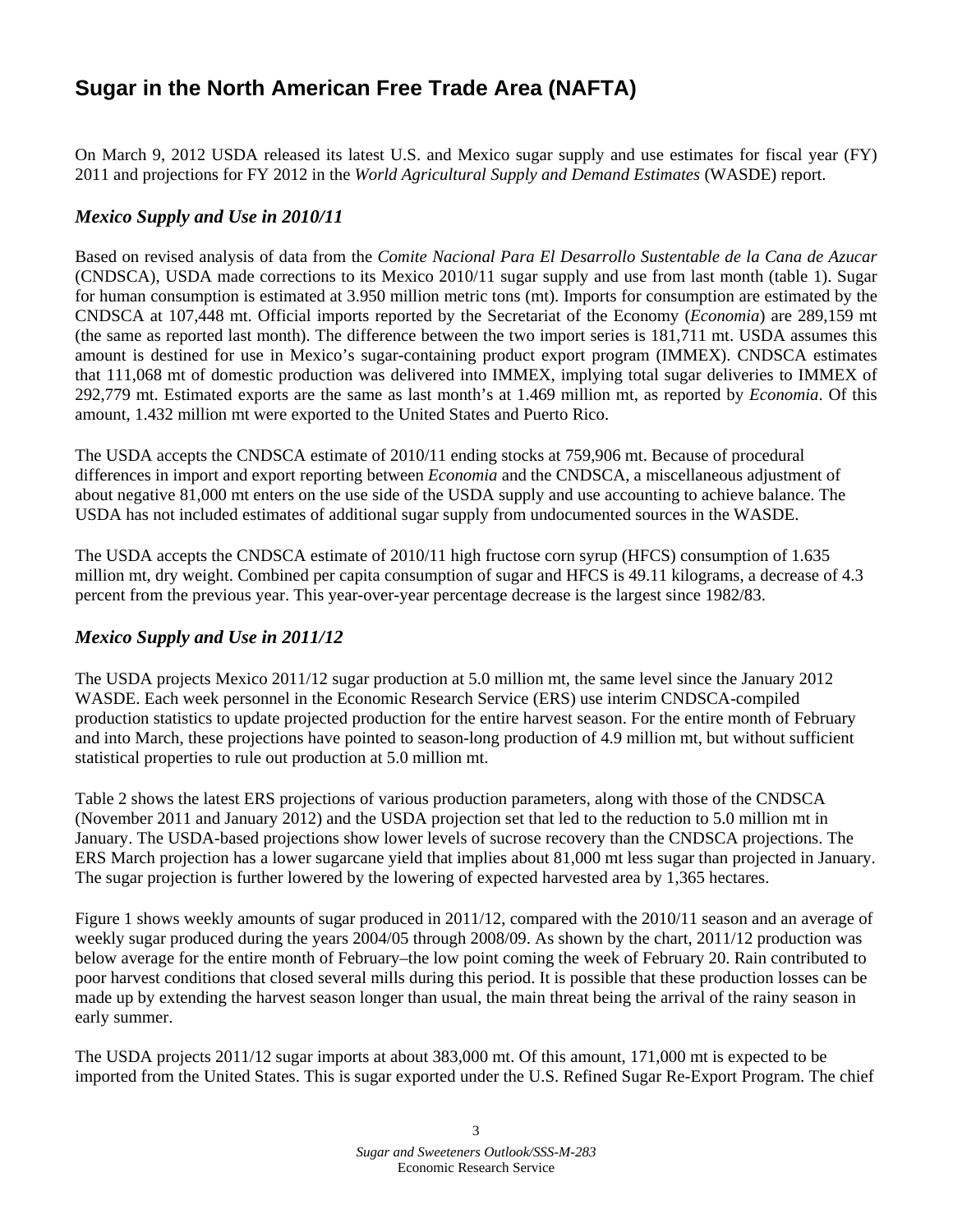# <span id="page-2-0"></span>**Sugar in the North American Free Trade Area (NAFTA)**

On March 9, 2012 USDA released its latest U.S. and Mexico sugar supply and use estimates for fiscal year (FY) 2011 and projections for FY 2012 in the *World Agricultural Supply and Demand Estimates* (WASDE) report.

#### *Mexico Supply and Use in 2010/11*

Based on revised analysis of data from the *Comite Nacional Para El Desarrollo Sustentable de la Cana de Azucar* (CNDSCA), USDA made corrections to its Mexico 2010/11 sugar supply and use from last month (table 1). Sugar for human consumption is estimated at 3.950 million metric tons (mt). Imports for consumption are estimated by the CNDSCA at 107,448 mt. Official imports reported by the Secretariat of the Economy (*Economia*) are 289,159 mt (the same as reported last month). The difference between the two import series is 181,711 mt. USDA assumes this amount is destined for use in Mexico's sugar-containing product export program (IMMEX). CNDSCA estimates that 111,068 mt of domestic production was delivered into IMMEX, implying total sugar deliveries to IMMEX of 292,779 mt. Estimated exports are the same as last month's at 1.469 million mt, as reported by *Economia*. Of this amount, 1.432 million mt were exported to the United States and Puerto Rico.

The USDA accepts the CNDSCA estimate of 2010/11 ending stocks at 759,906 mt. Because of procedural differences in import and export reporting between *Economia* and the CNDSCA, a miscellaneous adjustment of about negative 81,000 mt enters on the use side of the USDA supply and use accounting to achieve balance. The USDA has not included estimates of additional sugar supply from undocumented sources in the WASDE.

The USDA accepts the CNDSCA estimate of 2010/11 high fructose corn syrup (HFCS) consumption of 1.635 million mt, dry weight. Combined per capita consumption of sugar and HFCS is 49.11 kilograms, a decrease of 4.3 percent from the previous year. This year-over-year percentage decrease is the largest since 1982/83.

## *Mexico Supply and Use in 2011/12*

The USDA projects Mexico 2011/12 sugar production at 5.0 million mt, the same level since the January 2012 WASDE. Each week personnel in the Economic Research Service (ERS) use interim CNDSCA-compiled production statistics to update projected production for the entire harvest season. For the entire month of February and into March, these projections have pointed to season-long production of 4.9 million mt, but without sufficient statistical properties to rule out production at 5.0 million mt.

Table 2 shows the latest ERS projections of various production parameters, along with those of the CNDSCA (November 2011 and January 2012) and the USDA projection set that led to the reduction to 5.0 million mt in January. The USDA-based projections show lower levels of sucrose recovery than the CNDSCA projections. The ERS March projection has a lower sugarcane yield that implies about 81,000 mt less sugar than projected in January. The sugar projection is further lowered by the lowering of expected harvested area by 1,365 hectares.

Figure 1 shows weekly amounts of sugar produced in 2011/12, compared with the 2010/11 season and an average of weekly sugar produced during the years 2004/05 through 2008/09. As shown by the chart, 2011/12 production was below average for the entire month of February–the low point coming the week of February 20. Rain contributed to poor harvest conditions that closed several mills during this period. It is possible that these production losses can be made up by extending the harvest season longer than usual, the main threat being the arrival of the rainy season in early summer.

The USDA projects 2011/12 sugar imports at about 383,000 mt. Of this amount, 171,000 mt is expected to be imported from the United States. This is sugar exported under the U.S. Refined Sugar Re-Export Program. The chief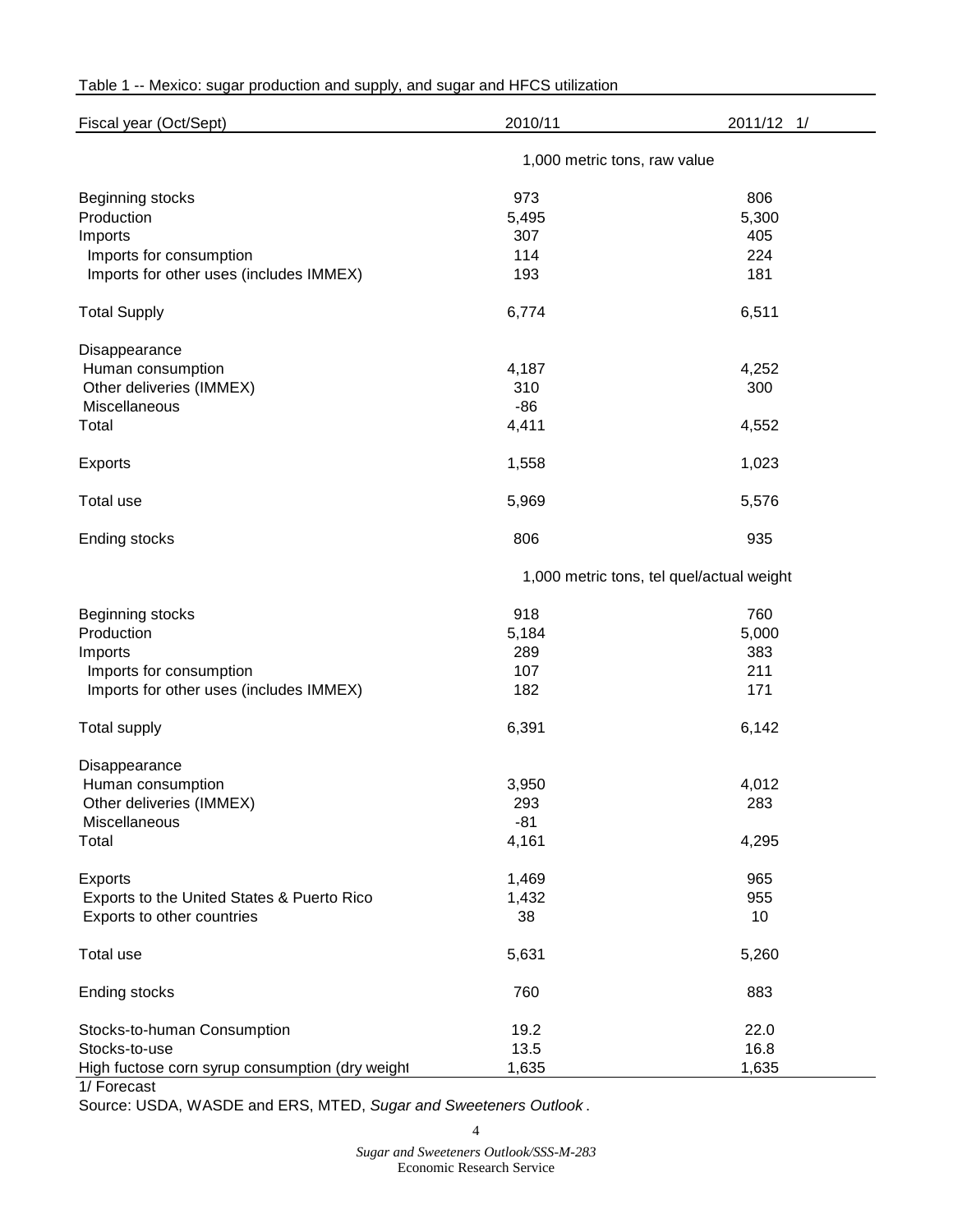#### Table 1 -- Mexico: sugar production and supply, and sugar and HFCS utilization

| Fiscal year (Oct/Sept)                          | 2010/11                                   | 2011/12 1/ |  |  |  |  |
|-------------------------------------------------|-------------------------------------------|------------|--|--|--|--|
|                                                 | 1,000 metric tons, raw value              |            |  |  |  |  |
| Beginning stocks                                | 973                                       | 806        |  |  |  |  |
| Production                                      | 5,495                                     | 5,300      |  |  |  |  |
| Imports                                         | 307                                       | 405        |  |  |  |  |
| Imports for consumption                         | 114                                       | 224        |  |  |  |  |
| Imports for other uses (includes IMMEX)         | 193                                       | 181        |  |  |  |  |
| <b>Total Supply</b>                             | 6,774                                     | 6,511      |  |  |  |  |
| Disappearance                                   |                                           |            |  |  |  |  |
| Human consumption                               | 4,187                                     | 4,252      |  |  |  |  |
| Other deliveries (IMMEX)                        | 310                                       | 300        |  |  |  |  |
| Miscellaneous                                   | $-86$                                     |            |  |  |  |  |
| Total                                           | 4,411                                     | 4,552      |  |  |  |  |
| <b>Exports</b>                                  | 1,558                                     | 1,023      |  |  |  |  |
| Total use                                       | 5,969                                     | 5,576      |  |  |  |  |
| Ending stocks                                   | 806                                       | 935        |  |  |  |  |
|                                                 | 1,000 metric tons, tel quel/actual weight |            |  |  |  |  |
| Beginning stocks                                | 918                                       | 760        |  |  |  |  |
| Production                                      | 5,184                                     | 5,000      |  |  |  |  |
| Imports                                         | 289                                       | 383        |  |  |  |  |
| Imports for consumption                         | 107                                       | 211        |  |  |  |  |
| Imports for other uses (includes IMMEX)         | 182                                       | 171        |  |  |  |  |
| <b>Total supply</b>                             | 6,391                                     | 6,142      |  |  |  |  |
| Disappearance                                   |                                           |            |  |  |  |  |
| Human consumption                               | 3,950                                     | 4,012      |  |  |  |  |
| Other deliveries (IMMEX)                        | 293                                       | 283        |  |  |  |  |
| Miscellaneous                                   | $-81$                                     |            |  |  |  |  |
| Total                                           | 4,161                                     | 4,295      |  |  |  |  |
| Exports                                         | 1,469                                     | 965        |  |  |  |  |
| Exports to the United States & Puerto Rico      | 1,432                                     | 955        |  |  |  |  |
| Exports to other countries                      | 38                                        | 10         |  |  |  |  |
| Total use                                       | 5,631                                     | 5,260      |  |  |  |  |
| Ending stocks                                   | 760                                       | 883        |  |  |  |  |
| Stocks-to-human Consumption                     | 19.2                                      | 22.0       |  |  |  |  |
| Stocks-to-use                                   | 13.5                                      | 16.8       |  |  |  |  |
| High fuctose corn syrup consumption (dry weight | 1,635                                     | 1,635      |  |  |  |  |

1/ Forecast

Source: USDA, WASDE and ERS, MTED, *Sugar and Sweeteners Outlook* .

4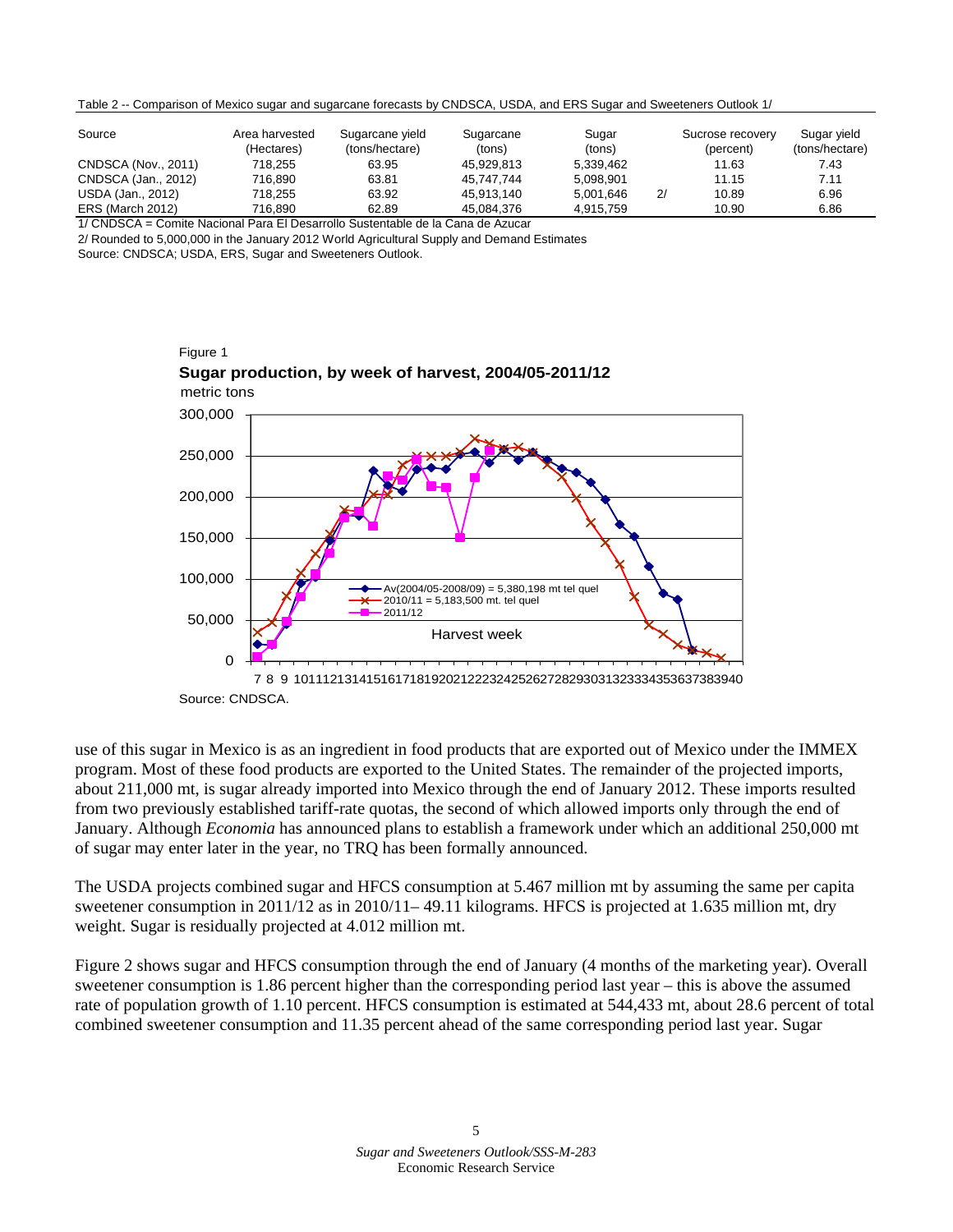| Table 2 -- Comparison of Mexico sugar and sugarcane forecasts by CNDSCA, USDA, and ERS Sugar and Sweeteners Outlook 1/ |  |
|------------------------------------------------------------------------------------------------------------------------|--|
|------------------------------------------------------------------------------------------------------------------------|--|

| Source              | Area harvested<br>(Hectares) | Sugarcane yield<br>(tons/hectare) | Sugarcane<br>(tons) | Sugar<br>(tons) |              | Sucrose recovery<br>(percent) | Sugar yield<br>(tons/hectare) |
|---------------------|------------------------------|-----------------------------------|---------------------|-----------------|--------------|-------------------------------|-------------------------------|
| CNDSCA (Nov., 2011) | 718.255                      | 63.95                             | 45.929.813          | 5.339.462       |              | 11.63                         | 7.43                          |
| CNDSCA (Jan., 2012) | 716.890                      | 63.81                             | 45.747.744          | 5.098.901       |              | 11.15                         | 7.11                          |
| USDA (Jan., 2012)   | 718.255                      | 63.92                             | 45.913.140          | 5.001.646       | $\mathbf{2}$ | 10.89                         | 6.96                          |
| ERS (March 2012)    | 716.890                      | 62.89                             | 45.084.376          | 4.915.759       |              | 10.90                         | 6.86                          |

1/ CNDSCA = Comite Nacional Para El Desarrollo Sustentable de la Cana de Azucar

2/ Rounded to 5,000,000 in the January 2012 World Agricultural Supply and Demand Estimates

Source: CNDSCA; USDA, ERS, Sugar and Sweeteners Outlook.



Source: CNDSCA.

use of this sugar in Mexico is as an ingredient in food products that are exported out of Mexico under the IMMEX program. Most of these food products are exported to the United States. The remainder of the projected imports, about 211,000 mt, is sugar already imported into Mexico through the end of January 2012. These imports resulted from two previously established tariff-rate quotas, the second of which allowed imports only through the end of January. Although *Economia* has announced plans to establish a framework under which an additional 250,000 mt of sugar may enter later in the year, no TRQ has been formally announced.

The USDA projects combined sugar and HFCS consumption at 5.467 million mt by assuming the same per capita sweetener consumption in 2011/12 as in 2010/11– 49.11 kilograms. HFCS is projected at 1.635 million mt, dry weight. Sugar is residually projected at 4.012 million mt.

Figure 2 shows sugar and HFCS consumption through the end of January (4 months of the marketing year). Overall sweetener consumption is 1.86 percent higher than the corresponding period last year – this is above the assumed rate of population growth of 1.10 percent. HFCS consumption is estimated at 544,433 mt, about 28.6 percent of total combined sweetener consumption and 11.35 percent ahead of the same corresponding period last year. Sugar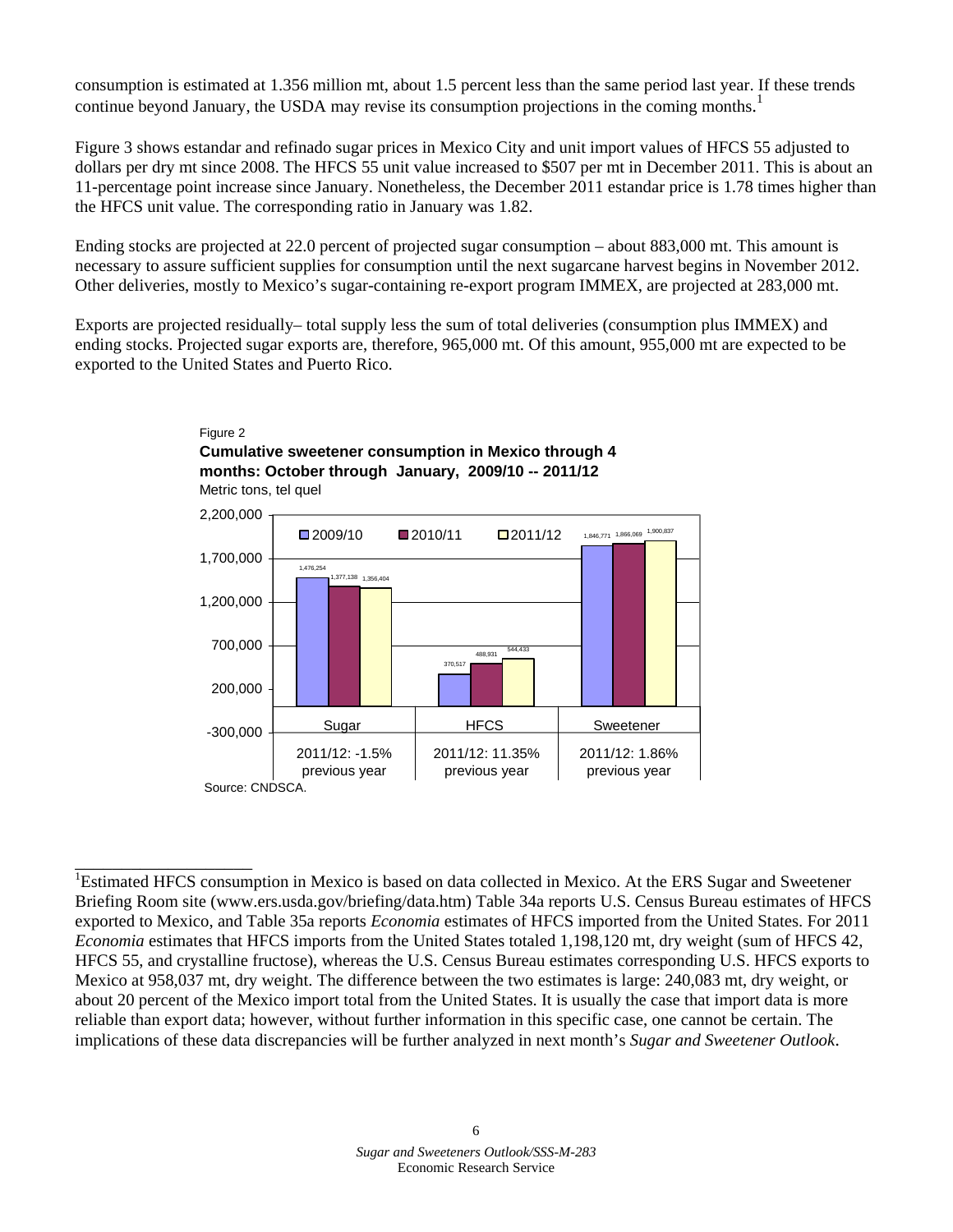consumption is estimated at 1.356 million mt, about 1.5 percent less than the same period last year. If these trends continue beyond January, the USDA may revise its consumption projections in the coming months.<sup>1</sup>

Figure 3 shows estandar and refinado sugar prices in Mexico City and unit import values of HFCS 55 adjusted to dollars per dry mt since 2008. The HFCS 55 unit value increased to \$507 per mt in December 2011. This is about an 11-percentage point increase since January. Nonetheless, the December 2011 estandar price is 1.78 times higher than the HFCS unit value. The corresponding ratio in January was 1.82.

Ending stocks are projected at 22.0 percent of projected sugar consumption – about 883,000 mt. This amount is necessary to assure sufficient supplies for consumption until the next sugarcane harvest begins in November 2012. Other deliveries, mostly to Mexico's sugar-containing re-export program IMMEX, are projected at 283,000 mt.

Exports are projected residually– total supply less the sum of total deliveries (consumption plus IMMEX) and ending stocks. Projected sugar exports are, therefore, 965,000 mt. Of this amount, 955,000 mt are expected to be exported to the United States and Puerto Rico.



Figure 2 **Cumulative sweetener consumption in Mexico through 4** 

\_\_\_\_\_\_\_\_\_\_\_\_\_\_\_\_\_\_\_

<sup>&</sup>lt;sup>1</sup>Estimated HFCS consumption in Mexico is based on data collected in Mexico. At the ERS Sugar and Sweetener Briefing Room site (www.ers.usda.gov/briefing/data.htm) Table 34a reports U.S. Census Bureau estimates of HFCS exported to Mexico, and Table 35a reports *Economia* estimates of HFCS imported from the United States. For 2011 *Economia* estimates that HFCS imports from the United States totaled 1,198,120 mt, dry weight (sum of HFCS 42, HFCS 55, and crystalline fructose), whereas the U.S. Census Bureau estimates corresponding U.S. HFCS exports to Mexico at 958,037 mt, dry weight. The difference between the two estimates is large: 240,083 mt, dry weight, or about 20 percent of the Mexico import total from the United States. It is usually the case that import data is more reliable than export data; however, without further information in this specific case, one cannot be certain. The implications of these data discrepancies will be further analyzed in next month's *Sugar and Sweetener Outlook*.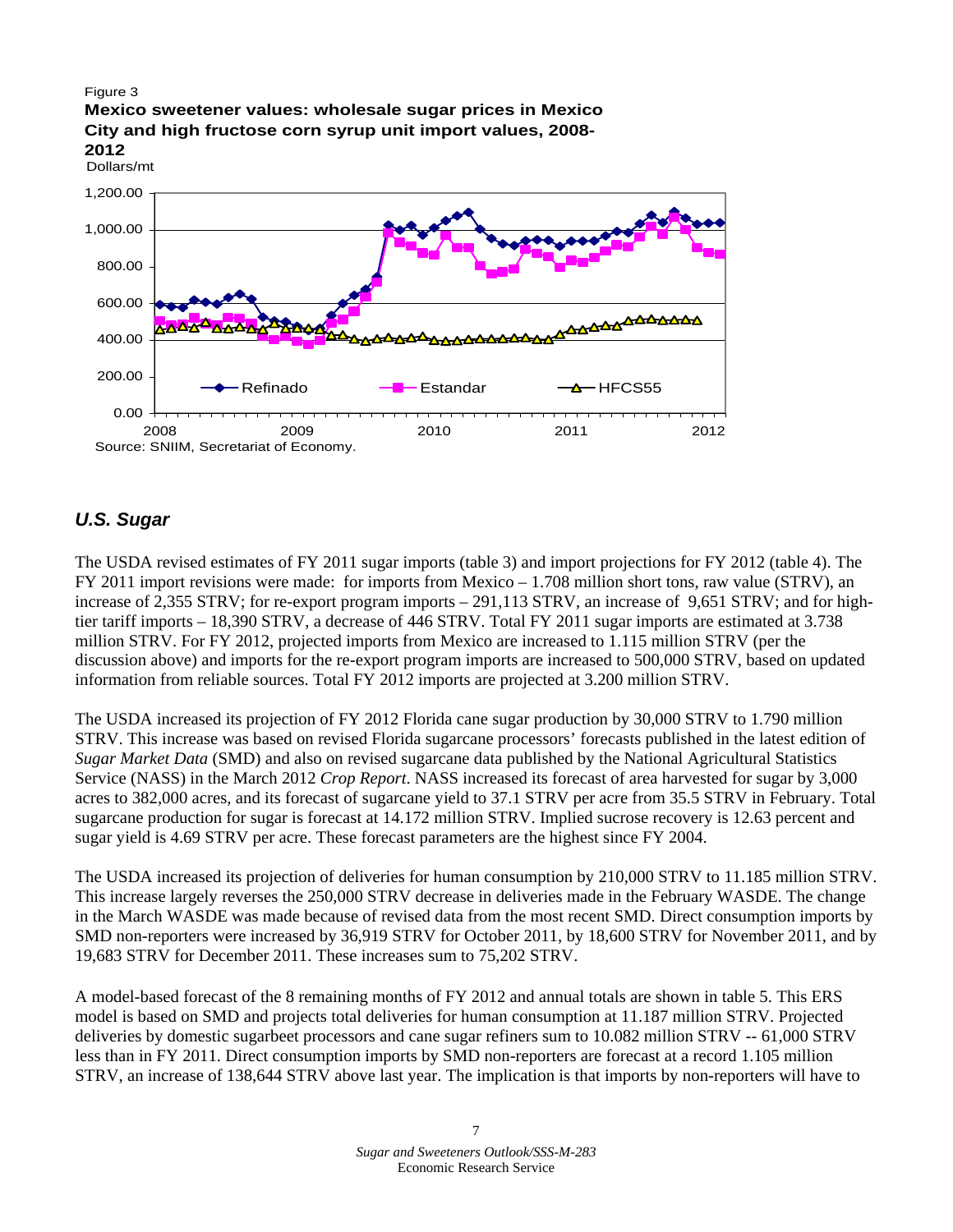

## *U.S. Sugar*

The USDA revised estimates of FY 2011 sugar imports (table 3) and import projections for FY 2012 (table 4). The FY 2011 import revisions were made: for imports from Mexico – 1.708 million short tons, raw value (STRV), an increase of 2,355 STRV; for re-export program imports – 291,113 STRV, an increase of 9,651 STRV; and for hightier tariff imports – 18,390 STRV, a decrease of 446 STRV. Total FY 2011 sugar imports are estimated at 3.738 million STRV. For FY 2012, projected imports from Mexico are increased to 1.115 million STRV (per the discussion above) and imports for the re-export program imports are increased to 500,000 STRV, based on updated information from reliable sources. Total FY 2012 imports are projected at 3.200 million STRV.

The USDA increased its projection of FY 2012 Florida cane sugar production by 30,000 STRV to 1.790 million STRV. This increase was based on revised Florida sugarcane processors' forecasts published in the latest edition of *Sugar Market Data* (SMD) and also on revised sugarcane data published by the National Agricultural Statistics Service (NASS) in the March 2012 *Crop Report*. NASS increased its forecast of area harvested for sugar by 3,000 acres to 382,000 acres, and its forecast of sugarcane yield to 37.1 STRV per acre from 35.5 STRV in February. Total sugarcane production for sugar is forecast at 14.172 million STRV. Implied sucrose recovery is 12.63 percent and sugar yield is 4.69 STRV per acre. These forecast parameters are the highest since FY 2004.

The USDA increased its projection of deliveries for human consumption by 210,000 STRV to 11.185 million STRV. This increase largely reverses the 250,000 STRV decrease in deliveries made in the February WASDE. The change in the March WASDE was made because of revised data from the most recent SMD. Direct consumption imports by SMD non-reporters were increased by 36,919 STRV for October 2011, by 18,600 STRV for November 2011, and by 19,683 STRV for December 2011. These increases sum to 75,202 STRV.

A model-based forecast of the 8 remaining months of FY 2012 and annual totals are shown in table 5. This ERS model is based on SMD and projects total deliveries for human consumption at 11.187 million STRV. Projected deliveries by domestic sugarbeet processors and cane sugar refiners sum to 10.082 million STRV -- 61,000 STRV less than in FY 2011. Direct consumption imports by SMD non-reporters are forecast at a record 1.105 million STRV, an increase of 138,644 STRV above last year. The implication is that imports by non-reporters will have to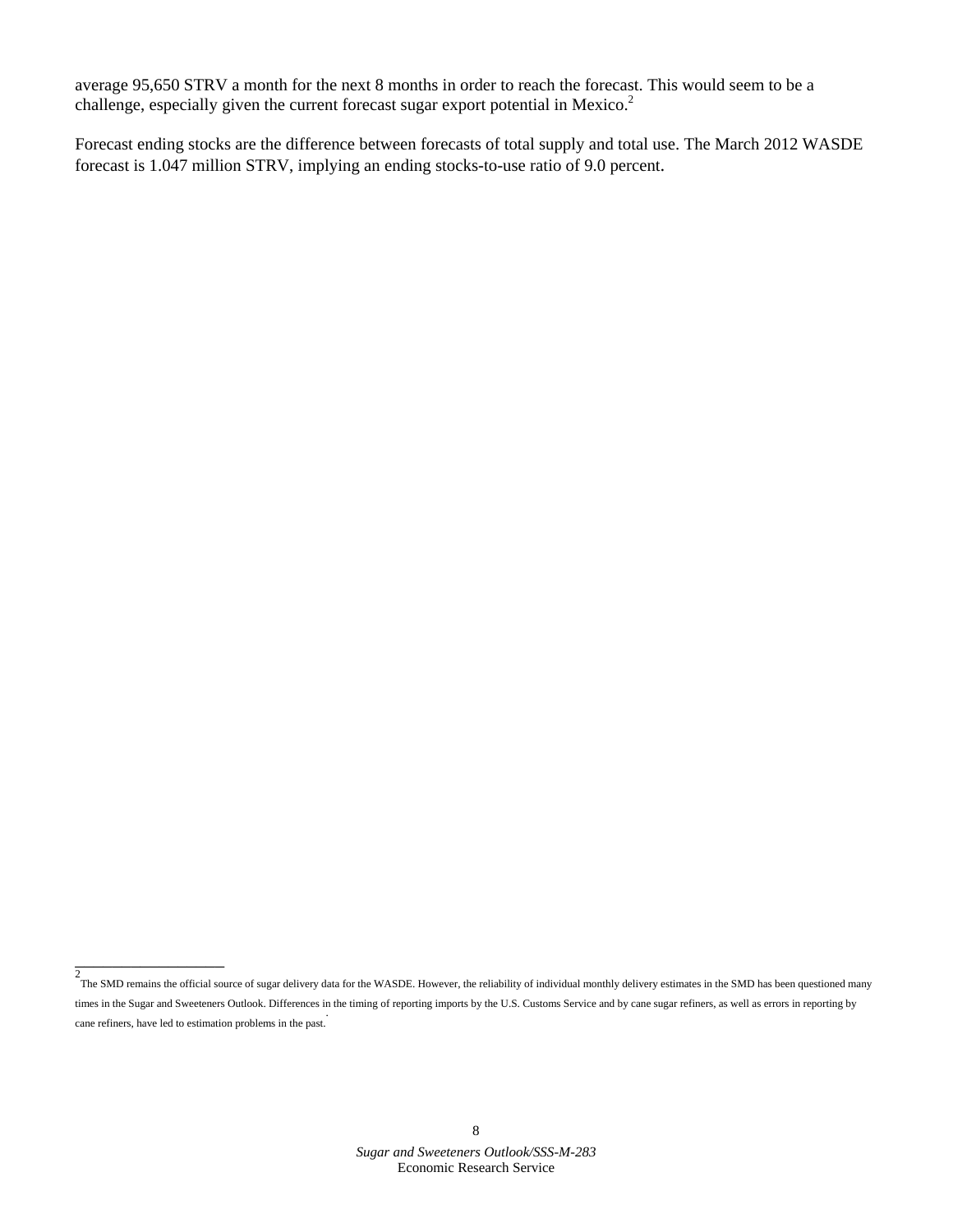average 95,650 STRV a month for the next 8 months in order to reach the forecast. This would seem to be a challenge, especially given the current forecast sugar export potential in Mexico. $2$ 

Forecast ending stocks are the difference between forecasts of total supply and total use. The March 2012 WASDE forecast is 1.047 million STRV, implying an ending stocks-to-use ratio of 9.0 percent.

\_\_\_\_\_\_\_\_\_\_\_\_\_\_\_\_ 2 The SMD remains the official source of sugar delivery data for the WASDE. However, the reliability of individual monthly delivery estimates in the SMD has been questioned many times in the Sugar and Sweeteners Outlook. Differences in the timing of reporting imports by the U.S. Customs Service and by cane sugar refiners, as well as errors in reporting by cane refiners, have led to estimation problems in the past..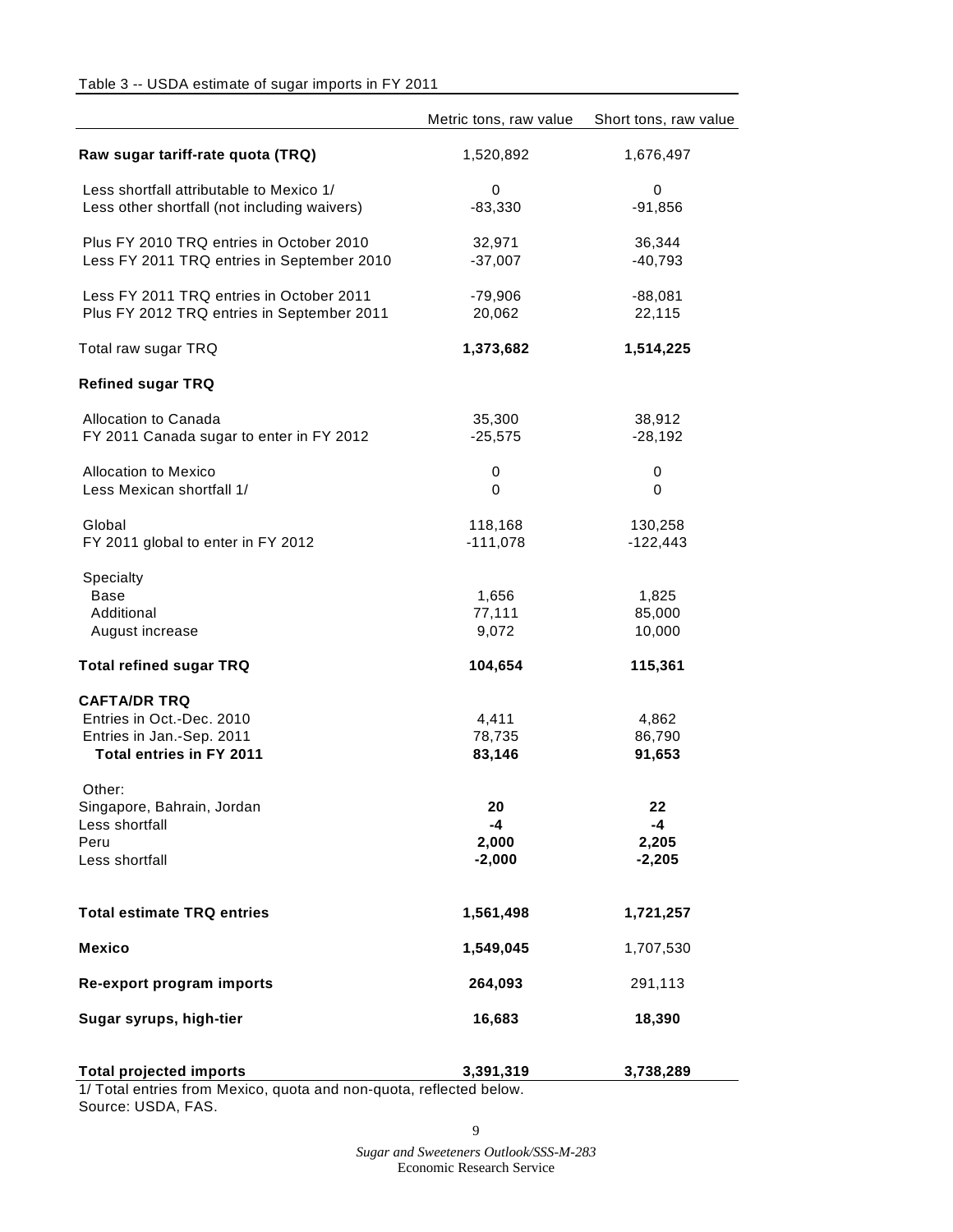#### Table 3 -- USDA estimate of sugar imports in FY 2011

|                                                                                                           | Metric tons, raw value          | Short tons, raw value         |
|-----------------------------------------------------------------------------------------------------------|---------------------------------|-------------------------------|
| Raw sugar tariff-rate quota (TRQ)                                                                         | 1,520,892                       | 1,676,497                     |
| Less shortfall attributable to Mexico 1/<br>Less other shortfall (not including waivers)                  | 0<br>$-83,330$                  | 0<br>$-91,856$                |
| Plus FY 2010 TRQ entries in October 2010<br>Less FY 2011 TRQ entries in September 2010                    | 32,971<br>$-37,007$             | 36,344<br>$-40,793$           |
| Less FY 2011 TRQ entries in October 2011<br>Plus FY 2012 TRQ entries in September 2011                    | -79,906<br>20,062               | -88,081<br>22,115             |
| Total raw sugar TRQ                                                                                       | 1,373,682                       | 1,514,225                     |
| <b>Refined sugar TRQ</b>                                                                                  |                                 |                               |
| Allocation to Canada<br>FY 2011 Canada sugar to enter in FY 2012                                          | 35,300<br>$-25,575$             | 38,912<br>$-28,192$           |
| Allocation to Mexico<br>Less Mexican shortfall 1/                                                         | 0<br>0                          | 0<br>0                        |
| Global<br>FY 2011 global to enter in FY 2012                                                              | 118,168<br>$-111,078$           | 130,258<br>$-122,443$         |
| Specialty<br><b>Base</b><br>Additional<br>August increase                                                 | 1,656<br>77,111<br>9,072        | 1,825<br>85,000<br>10,000     |
| <b>Total refined sugar TRQ</b>                                                                            | 104,654                         | 115,361                       |
| <b>CAFTA/DR TRQ</b><br>Entries in Oct.-Dec. 2010<br>Entries in Jan.-Sep. 2011<br>Total entries in FY 2011 | 4,411<br>78,735<br>83,146       | 4,862<br>86,790<br>91,653     |
| Other:<br>Singapore, Bahrain, Jordan<br>Less shortfall<br>Peru<br>Less shortfall                          | 20<br>$-4$<br>2,000<br>$-2,000$ | 22<br>-4<br>2,205<br>$-2,205$ |
| <b>Total estimate TRQ entries</b>                                                                         | 1,561,498                       | 1,721,257                     |
| <b>Mexico</b>                                                                                             | 1,549,045                       | 1,707,530                     |
| Re-export program imports                                                                                 | 264,093                         | 291,113                       |
| Sugar syrups, high-tier                                                                                   | 16,683                          | 18,390                        |
| <b>Total projected imports</b>                                                                            | 3,391,319                       | 3,738,289                     |

1/ Total entries from Mexico, quota and non-quota, reflected below. Source: USDA, FAS.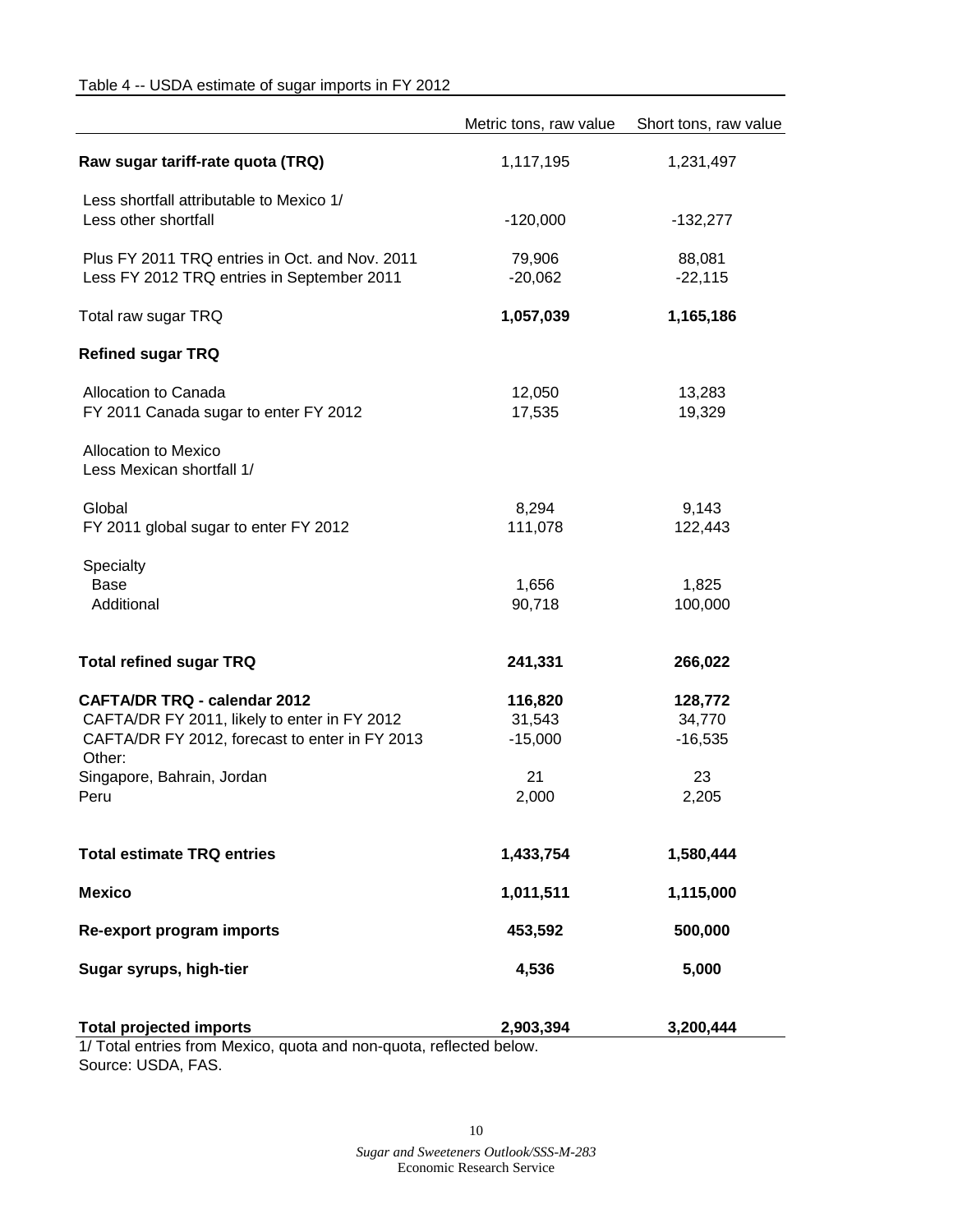#### Table 4 -- USDA estimate of sugar imports in FY 2012

|                                                                                                                                                                                       | Metric tons, raw value                        | Short tons, raw value                         |
|---------------------------------------------------------------------------------------------------------------------------------------------------------------------------------------|-----------------------------------------------|-----------------------------------------------|
| Raw sugar tariff-rate quota (TRQ)                                                                                                                                                     | 1,117,195                                     | 1,231,497                                     |
| Less shortfall attributable to Mexico 1/<br>Less other shortfall                                                                                                                      | $-120,000$                                    | $-132,277$                                    |
| Plus FY 2011 TRQ entries in Oct. and Nov. 2011<br>Less FY 2012 TRQ entries in September 2011                                                                                          | 79,906<br>$-20,062$                           | 88,081<br>$-22,115$                           |
| Total raw sugar TRQ                                                                                                                                                                   | 1,057,039                                     | 1,165,186                                     |
| <b>Refined sugar TRQ</b>                                                                                                                                                              |                                               |                                               |
| Allocation to Canada<br>FY 2011 Canada sugar to enter FY 2012                                                                                                                         | 12,050<br>17,535                              | 13,283<br>19,329                              |
| <b>Allocation to Mexico</b><br>Less Mexican shortfall 1/                                                                                                                              |                                               |                                               |
| Global<br>FY 2011 global sugar to enter FY 2012                                                                                                                                       | 8,294<br>111,078                              | 9,143<br>122,443                              |
| Specialty<br><b>Base</b><br>Additional                                                                                                                                                | 1,656<br>90,718                               | 1,825<br>100,000                              |
| <b>Total refined sugar TRQ</b>                                                                                                                                                        | 241,331                                       | 266,022                                       |
| <b>CAFTA/DR TRQ - calendar 2012</b><br>CAFTA/DR FY 2011, likely to enter in FY 2012<br>CAFTA/DR FY 2012, forecast to enter in FY 2013<br>Other:<br>Singapore, Bahrain, Jordan<br>Peru | 116,820<br>31,543<br>$-15,000$<br>21<br>2,000 | 128,772<br>34,770<br>$-16,535$<br>23<br>2,205 |
| <b>Total estimate TRQ entries</b>                                                                                                                                                     | 1,433,754                                     | 1,580,444                                     |
| <b>Mexico</b>                                                                                                                                                                         | 1,011,511                                     | 1,115,000                                     |
| <b>Re-export program imports</b>                                                                                                                                                      | 453,592                                       | 500,000                                       |
| Sugar syrups, high-tier                                                                                                                                                               | 4,536                                         | 5,000                                         |
| <b>Total projected imports</b><br>1/ Total entries from Mexico, quota and non-quota, reflected below.                                                                                 | 2,903,394                                     | 3,200,444                                     |

Total entries from Mexico, quota and non-quota, reflected below. Source: USDA, FAS.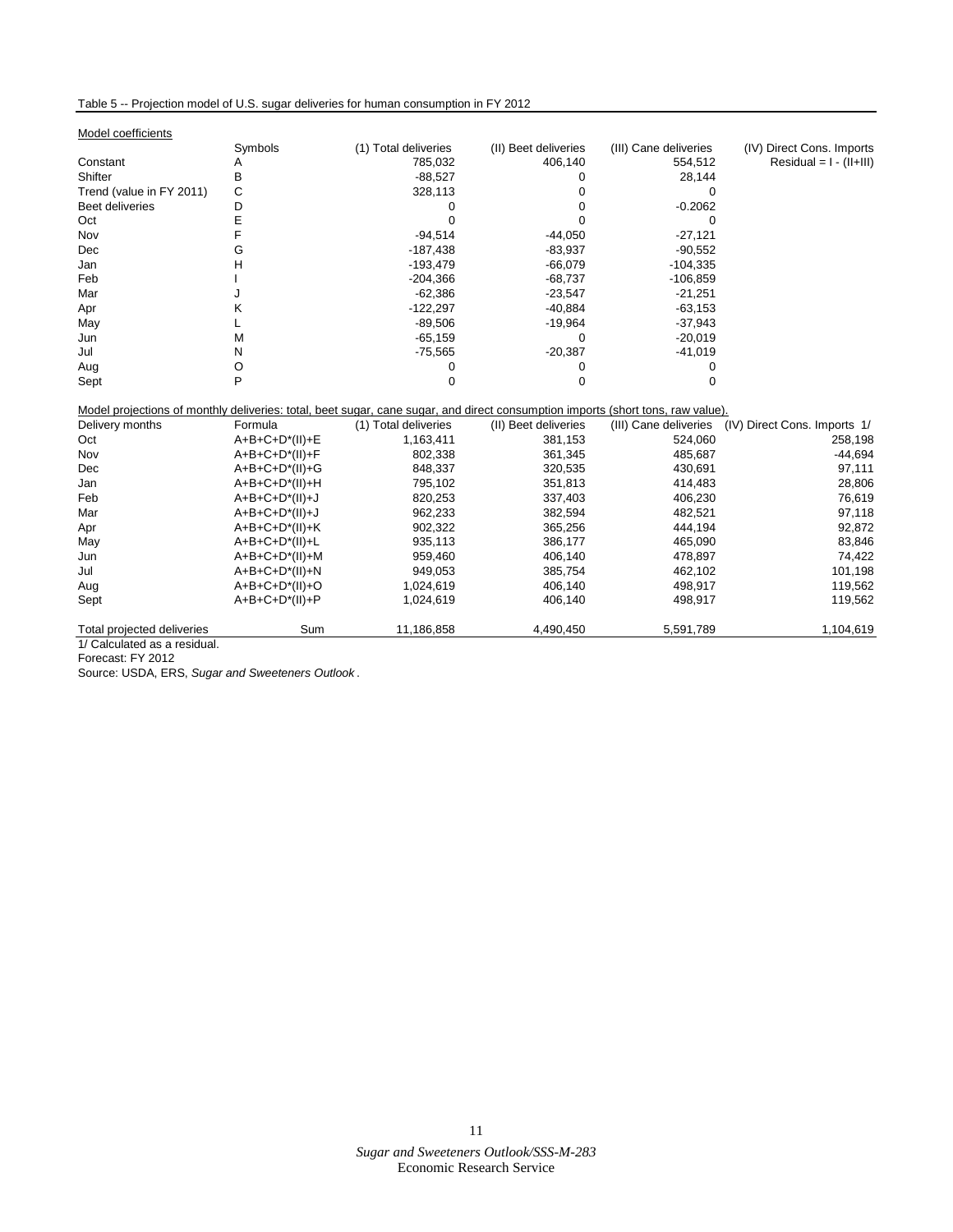#### Table 5 -- Projection model of U.S. sugar deliveries for human consumption in FY 2012

|                          | Symbols | (1) Total deliveries | (II) Beet deliveries | (III) Cane deliveries | (IV) Direct Cons. Imports   |
|--------------------------|---------|----------------------|----------------------|-----------------------|-----------------------------|
| Constant                 |         | 785,032              | 406,140              | 554,512               | Residual = $I - (II + III)$ |
| Shifter                  | в       | $-88,527$            |                      | 28,144                |                             |
| Trend (value in FY 2011) | C       | 328,113              |                      |                       |                             |
| Beet deliveries          |         |                      |                      | $-0.2062$             |                             |
| Oct                      |         |                      |                      |                       |                             |
| Nov                      |         | $-94,514$            | $-44,050$            | $-27,121$             |                             |
| Dec                      | G       | $-187,438$           | -83,937              | $-90,552$             |                             |
| Jan                      | н       | $-193,479$           | -66,079              | $-104,335$            |                             |
| Feb                      |         | $-204,366$           | $-68,737$            | $-106,859$            |                             |
| Mar                      |         | $-62,386$            | $-23,547$            | $-21,251$             |                             |
| Apr                      | ĸ       | $-122,297$           | $-40,884$            | $-63,153$             |                             |
| May                      |         | $-89,506$            | $-19,964$            | $-37,943$             |                             |
| Jun                      | м       | $-65,159$            | O                    | $-20,019$             |                             |
| Jul                      | N       | $-75,565$            | $-20,387$            | $-41,019$             |                             |
| Aug                      | O       |                      |                      |                       |                             |
| Sept                     | P       |                      |                      |                       |                             |

| INIQQUE PROJECTIONS OF MONTHLY QUIVERIES: TOTAL, DECT SUGAR, CANE SUGAR, AND QIRECT CONSUMPTION IMPORTS (SNOTT TONS, FAW VAIUG).<br>Delivery months | Formula                     | (1) Total deliveries | (II) Beet deliveries | (III) Cane deliveries | (IV) Direct Cons. Imports 1/ |
|-----------------------------------------------------------------------------------------------------------------------------------------------------|-----------------------------|----------------------|----------------------|-----------------------|------------------------------|
| Oct                                                                                                                                                 | $A+B+C+D^*(II)+E$           | 1,163,411            | 381,153              | 524,060               | 258,198                      |
| Nov                                                                                                                                                 | $A+B+C+D^*(II)+F$           | 802,338              | 361,345              | 485,687               | $-44,694$                    |
| <b>Dec</b>                                                                                                                                          | $A+B+C+D^*(II)+G$           | 848,337              | 320,535              | 430,691               | 97,111                       |
| Jan                                                                                                                                                 | $A+B+C+D^*(II)+H$           | 795,102              | 351,813              | 414,483               | 28,806                       |
| Feb                                                                                                                                                 | $A+B+C+D^*(II)+J$           | 820,253              | 337,403              | 406,230               | 76,619                       |
| Mar                                                                                                                                                 | $A+B+C+D^*(II)+J$           | 962,233              | 382,594              | 482,521               | 97,118                       |
| Apr                                                                                                                                                 | A+B+C+D <sup>*</sup> (II)+K | 902,322              | 365,256              | 444,194               | 92,872                       |
| May                                                                                                                                                 | $A+B+C+D^*(II)+L$           | 935,113              | 386,177              | 465,090               | 83,846                       |
| Jun                                                                                                                                                 | $A+B+C+D^*(II)+M$           | 959,460              | 406,140              | 478,897               | 74,422                       |
| Jul                                                                                                                                                 | $A+B+C+D^*(II)+N$           | 949,053              | 385,754              | 462,102               | 101,198                      |
| Aug                                                                                                                                                 | $A+B+C+D^*(II)+O$           | 1,024,619            | 406,140              | 498,917               | 119,562                      |
| Sept                                                                                                                                                | $A+B+C+D^*(II)+P$           | 1,024,619            | 406,140              | 498,917               | 119,562                      |
| Total projected deliveries                                                                                                                          | Sum                         | 11,186,858           | 4,490,450            | 5,591,789             | 1,104,619                    |
| 1/ Calculated as a residual.                                                                                                                        |                             |                      |                      |                       |                              |

Forecast: FY 2012

Source: USDA, ERS, *Sugar and Sweeteners Outlook* .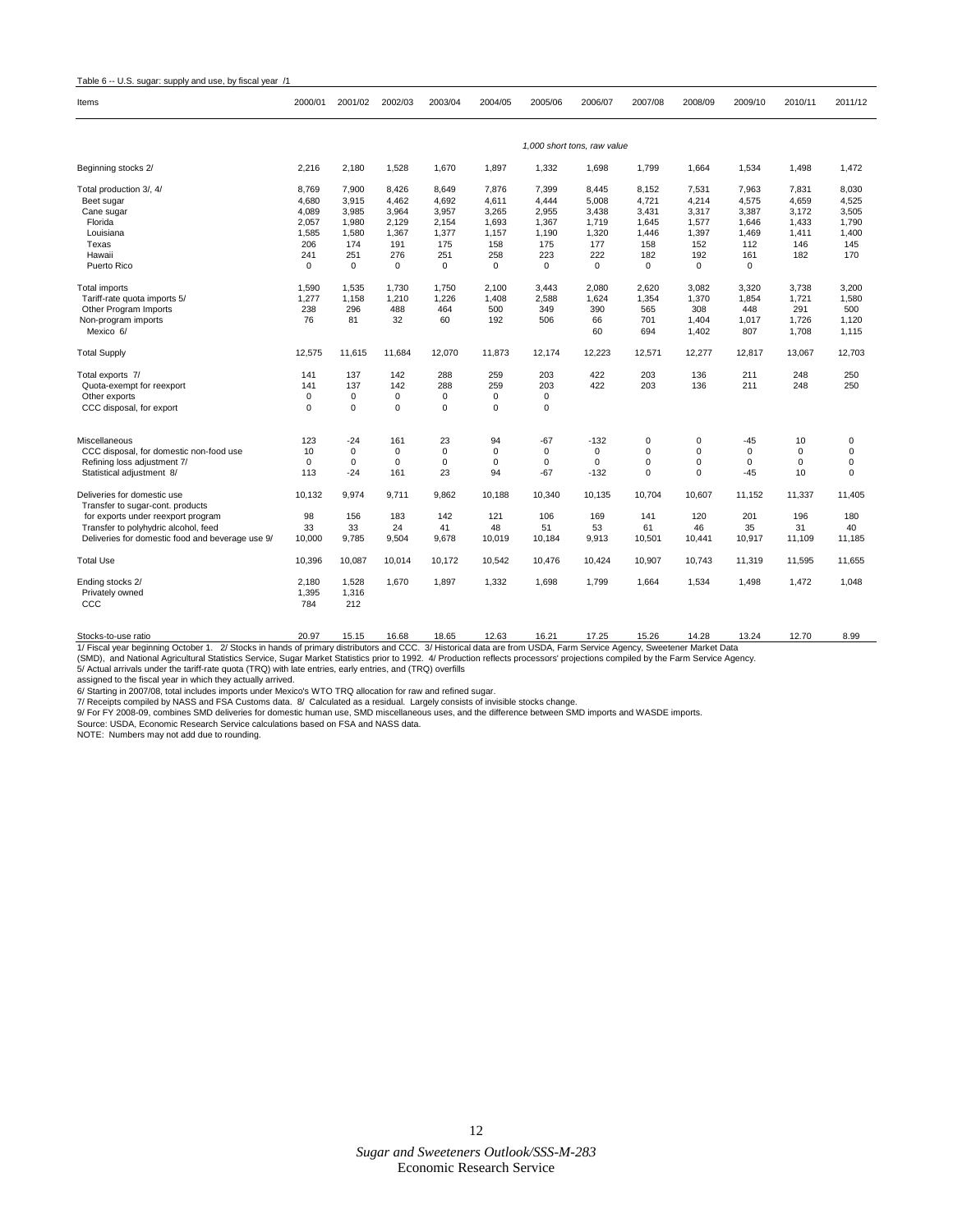| Table 6 -- U.S. sugar: supply and use, by fiscal year /1        |             |             |             |             |             |             |                             |             |                |              |                |                |
|-----------------------------------------------------------------|-------------|-------------|-------------|-------------|-------------|-------------|-----------------------------|-------------|----------------|--------------|----------------|----------------|
| Items                                                           | 2000/01     | 2001/02     | 2002/03     | 2003/04     | 2004/05     | 2005/06     | 2006/07                     | 2007/08     | 2008/09        | 2009/10      | 2010/11        | 2011/12        |
|                                                                 |             |             |             |             |             |             |                             |             |                |              |                |                |
|                                                                 |             |             |             |             |             |             | 1,000 short tons, raw value |             |                |              |                |                |
| Beginning stocks 2/                                             | 2,216       | 2,180       | 1,528       | 1.670       | 1,897       | 1,332       | 1,698                       | 1,799       | 1,664          | 1,534        | 1.498          | 1,472          |
| Total production 3/, 4/                                         | 8,769       | 7,900       | 8,426       | 8,649       | 7,876       | 7,399       | 8,445                       | 8,152       | 7,531          | 7,963        | 7,831          | 8,030          |
| Beet sugar                                                      | 4,680       | 3,915       | 4,462       | 4,692       | 4,611       | 4,444       | 5,008                       | 4,721       | 4,214          | 4,575        | 4,659          | 4,525          |
| Cane sugar                                                      | 4,089       | 3,985       | 3,964       | 3,957       | 3,265       | 2,955       | 3,438                       | 3,431       | 3,317          | 3,387        | 3,172          | 3,505          |
| Florida                                                         | 2,057       | 1,980       | 2,129       | 2,154       | 1,693       | 1,367       | 1,719                       | 1,645       | 1,577          | 1.646        | 1,433          | 1,790          |
| Louisiana                                                       | 1,585       | 1,580       | 1,367       | 1,377       | 1,157       | 1,190       | 1,320                       | 1,446       | 1,397          | 1,469        | 1,411          | 1,400          |
| Texas                                                           | 206         | 174         | 191         | 175         | 158         | 175         | 177                         | 158         | 152            | 112          | 146            | 145            |
| Hawaii                                                          | 241         | 251         | 276         | 251         | 258         | 223         | 222                         | 182         | 192            | 161          | 182            | 170            |
| Puerto Rico                                                     | $\Omega$    | $\Omega$    | $\mathbf 0$ | $\mathbf 0$ | $\mathbf 0$ | $\Omega$    | 0                           | $\mathbf 0$ | $\mathbf 0$    | $\Omega$     |                |                |
|                                                                 |             |             |             |             |             |             |                             |             |                |              |                |                |
| <b>Total imports</b>                                            | 1.590       | 1.535       | 1.730       | 1.750       | 2.100       | 3.443       | 2.080                       | 2.620       | 3.082          | 3.320        | 3,738          | 3,200          |
| Tariff-rate quota imports 5/                                    | 1,277       | 1,158       | 1,210       | 1,226       | 1,408       | 2,588       | 1,624                       | 1,354       | 1,370          | 1,854        | 1,721          | 1,580          |
| Other Program Imports                                           | 238         | 296         | 488         | 464         | 500         | 349         | 390                         | 565         | 308            | 448          | 291            | 500            |
| Non-program imports<br>Mexico 6/                                | 76          | 81          | 32          | 60          | 192         | 506         | 66<br>60                    | 701<br>694  | 1,404<br>1,402 | 1,017<br>807 | 1,726<br>1,708 | 1,120<br>1,115 |
| <b>Total Supply</b>                                             | 12,575      | 11,615      | 11,684      | 12,070      | 11,873      | 12,174      | 12,223                      | 12,571      | 12,277         | 12,817       | 13,067         | 12,703         |
| Total exports 7/                                                | 141         | 137         | 142         | 288         | 259         | 203         | 422                         | 203         | 136            | 211          | 248            | 250            |
| Quota-exempt for reexport                                       | 141         | 137         | 142         | 288         | 259         | 203         | 422                         | 203         | 136            | 211          | 248            | 250            |
| Other exports                                                   | $\mathbf 0$ | $\mathbf 0$ | 0           | $\mathbf 0$ | $\mathbf 0$ | $\mathbf 0$ |                             |             |                |              |                |                |
| CCC disposal, for export                                        | $\Omega$    | $\mathbf 0$ | $\Omega$    | $\mathbf 0$ | $\Omega$    | $\mathbf 0$ |                             |             |                |              |                |                |
| Miscellaneous                                                   | 123         | $-24$       | 161         | 23          | 94          | $-67$       | $-132$                      | 0           | 0              | $-45$        | 10             | 0              |
| CCC disposal, for domestic non-food use                         | 10          | $\mathbf 0$ | 0           | $\mathbf 0$ | $\mathbf 0$ | $\mathbf 0$ | 0                           | $\mathbf 0$ | $\mathbf 0$    | 0            | $\mathbf 0$    | $\mathbf 0$    |
| Refining loss adjustment 7/                                     | $\Omega$    | $\mathbf 0$ | 0           | $\mathbf 0$ | $\mathbf 0$ | $\mathbf 0$ | $\mathbf 0$                 | $\mathbf 0$ | $\mathbf 0$    | $\mathbf 0$  | $\mathbf 0$    | 0              |
| Statistical adjustment 8/                                       | 113         | $-24$       | 161         | 23          | 94          | $-67$       | $-132$                      | $\mathbf 0$ | 0              | $-45$        | 10             | 0              |
| Deliveries for domestic use<br>Transfer to sugar-cont. products | 10,132      | 9,974       | 9,711       | 9,862       | 10,188      | 10,340      | 10,135                      | 10,704      | 10,607         | 11,152       | 11,337         | 11,405         |
| for exports under reexport program                              | 98          | 156         | 183         | 142         | 121         | 106         | 169                         | 141         | 120            | 201          | 196            | 180            |
| Transfer to polyhydric alcohol, feed                            | 33          | 33          | 24          | 41          | 48          | 51          | 53                          | 61          | 46             | 35           | 31             | 40             |
| Deliveries for domestic food and beverage use 9/                | 10,000      | 9,785       | 9,504       | 9,678       | 10,019      | 10,184      | 9,913                       | 10,501      | 10,441         | 10,917       | 11,109         | 11,185         |
| <b>Total Use</b>                                                | 10,396      | 10,087      | 10,014      | 10,172      | 10,542      | 10,476      | 10,424                      | 10,907      | 10,743         | 11,319       | 11,595         | 11,655         |
| Ending stocks 2/                                                | 2,180       | 1,528       | 1.670       | 1,897       | 1,332       | 1,698       | 1,799                       | 1,664       | 1,534          | 1,498        | 1,472          | 1,048          |
| Privately owned                                                 | 1,395       | 1,316       |             |             |             |             |                             |             |                |              |                |                |
| CCC                                                             | 784         | 212         |             |             |             |             |                             |             |                |              |                |                |

Stocks-to-use ratio 11.28 13.24 12.70 20.97 15.15 16.68 18.65 12.63 16.21 17.25 15.26 14.28 13.24 12.70 8.99<br>1/ Fiscal year beginning October 1. 2/ Stocks in hands of primary distributors and CCC. 3/ Historical data are fr

assigned to the fiscal year in which they actually arrived.<br>6/ Starting in 2007/08, total includes imports under Mexico's WTO TRQ allocation for raw and refined sugar.<br>7/ Receipts compiled by NASS and FSA Customs data. 8/

NOTE: Numbers may not add due to rounding.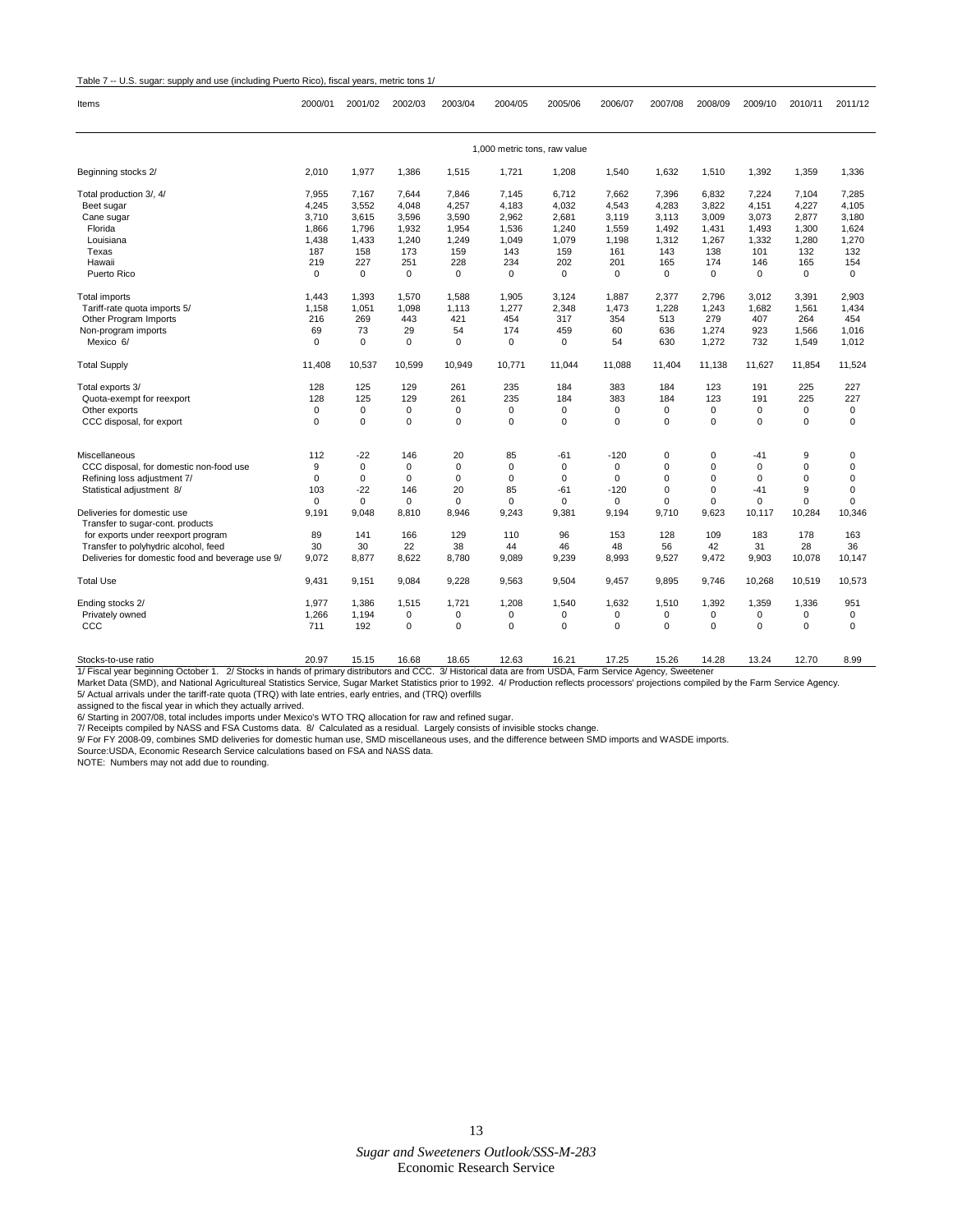#### Table 7 -- U.S. sugar: supply and use (including Puerto Rico), fiscal years, metric tons 1/

| Items                                                                                                                                                                                             | 2000/01                                   | 2001/02                                          | 2002/03                                           | 2003/04                                      | 2004/05                                     | 2005/06                                            | 2006/07                                                    | 2007/08                                           | 2008/09                                                           | 2009/10                                     | 2010/11                                    | 2011/12                                                              |
|---------------------------------------------------------------------------------------------------------------------------------------------------------------------------------------------------|-------------------------------------------|--------------------------------------------------|---------------------------------------------------|----------------------------------------------|---------------------------------------------|----------------------------------------------------|------------------------------------------------------------|---------------------------------------------------|-------------------------------------------------------------------|---------------------------------------------|--------------------------------------------|----------------------------------------------------------------------|
|                                                                                                                                                                                                   | 1,000 metric tons, raw value              |                                                  |                                                   |                                              |                                             |                                                    |                                                            |                                                   |                                                                   |                                             |                                            |                                                                      |
| Beginning stocks 2/                                                                                                                                                                               | 2,010                                     | 1,977                                            | 1,386                                             | 1,515                                        | 1,721                                       | 1,208                                              | 1,540                                                      | 1,632                                             | 1,510                                                             | 1,392                                       | 1,359                                      | 1,336                                                                |
| Total production 3/, 4/<br>Beet sugar<br>Cane sugar<br>Florida<br>Louisiana                                                                                                                       | 7,955<br>4,245<br>3,710<br>1,866<br>1,438 | 7,167<br>3,552<br>3,615<br>1,796<br>1,433        | 7,644<br>4,048<br>3,596<br>1,932<br>1,240         | 7,846<br>4,257<br>3,590<br>1,954<br>1,249    | 7,145<br>4,183<br>2,962<br>1,536<br>1,049   | 6,712<br>4,032<br>2,681<br>1,240<br>1,079          | 7,662<br>4,543<br>3,119<br>1,559<br>1,198                  | 7,396<br>4,283<br>3,113<br>1,492<br>1,312         | 6,832<br>3,822<br>3,009<br>1,431<br>1,267                         | 7,224<br>4,151<br>3,073<br>1,493<br>1,332   | 7,104<br>4,227<br>2,877<br>1,300<br>1,280  | 7,285<br>4,105<br>3,180<br>1,624<br>1,270                            |
| Texas<br>Hawaii<br>Puerto Rico                                                                                                                                                                    | 187<br>219<br>0                           | 158<br>227<br>$\mathbf 0$                        | 173<br>251<br>$\mathbf 0$                         | 159<br>228<br>$\Omega$                       | 143<br>234<br>$\mathbf 0$                   | 159<br>202<br>$\mathbf 0$                          | 161<br>201<br>$\mathbf 0$                                  | 143<br>165<br>$\mathbf 0$                         | 138<br>174<br>$\mathbf 0$                                         | 101<br>146<br>0                             | 132<br>165<br>0                            | 132<br>154<br>$\mathbf 0$                                            |
| Total imports<br>Tariff-rate quota imports 5/<br>Other Program Imports<br>Non-program imports<br>Mexico 6/                                                                                        | 1,443<br>1.158<br>216<br>69<br>0          | 1,393<br>1.051<br>269<br>73<br>$\mathbf 0$       | 1,570<br>1.098<br>443<br>29<br>$\mathbf 0$        | 1,588<br>1.113<br>421<br>54<br>0             | 1,905<br>1,277<br>454<br>174<br>$\mathbf 0$ | 3,124<br>2,348<br>317<br>459<br>$\mathbf 0$        | 1,887<br>1.473<br>354<br>60<br>54                          | 2,377<br>1.228<br>513<br>636<br>630               | 2,796<br>1,243<br>279<br>1,274<br>1,272                           | 3,012<br>1.682<br>407<br>923<br>732         | 3,391<br>1,561<br>264<br>1,566<br>1,549    | 2,903<br>1,434<br>454<br>1,016<br>1,012                              |
| <b>Total Supply</b>                                                                                                                                                                               | 11,408                                    | 10,537                                           | 10,599                                            | 10,949                                       | 10,771                                      | 11,044                                             | 11,088                                                     | 11,404                                            | 11,138                                                            | 11,627                                      | 11,854                                     | 11,524                                                               |
| Total exports 3/<br>Quota-exempt for reexport<br>Other exports<br>CCC disposal, for export                                                                                                        | 128<br>128<br>0<br>0                      | 125<br>125<br>0<br>0                             | 129<br>129<br>$\mathbf 0$<br>$\Omega$             | 261<br>261<br>0<br>$\Omega$                  | 235<br>235<br>0<br>$\mathbf 0$              | 184<br>184<br>$\mathbf 0$<br>$\Omega$              | 383<br>383<br>0<br>0                                       | 184<br>184<br>0<br>$\Omega$                       | 123<br>123<br>0<br>$\Omega$                                       | 191<br>191<br>0<br>$\Omega$                 | 225<br>225<br>0<br>$\Omega$                | 227<br>227<br>0<br>$\mathbf 0$                                       |
| Miscellaneous<br>CCC disposal, for domestic non-food use<br>Refining loss adjustment 7/<br>Statistical adjustment 8/                                                                              | 112<br>9<br>0<br>103<br>$\Omega$          | -22<br>$\Omega$<br>$\Omega$<br>$-22$<br>$\Omega$ | 146<br>$\Omega$<br>$\Omega$<br>146<br>$\mathbf 0$ | 20<br>$\Omega$<br>$\Omega$<br>20<br>$\Omega$ | 85<br>$\Omega$<br>0<br>85<br>$\Omega$       | $-61$<br>$\Omega$<br>$\Omega$<br>$-61$<br>$\Omega$ | $-120$<br>$\mathbf 0$<br>$\mathbf 0$<br>$-120$<br>$\Omega$ | 0<br>$\Omega$<br>$\Omega$<br>$\Omega$<br>$\Omega$ | $\mathbf 0$<br>$\Omega$<br>$\mathbf 0$<br>$\mathbf 0$<br>$\Omega$ | $-41$<br>$\Omega$<br>0<br>$-41$<br>$\Omega$ | 9<br>$\Omega$<br>$\Omega$<br>9<br>$\Omega$ | $\mathbf 0$<br>$\mathbf 0$<br>$\mathbf 0$<br>$\mathbf 0$<br>$\Omega$ |
| Deliveries for domestic use<br>Transfer to sugar-cont. products<br>for exports under reexport program<br>Transfer to polyhydric alcohol, feed<br>Deliveries for domestic food and beverage use 9/ | 9,191<br>89<br>30<br>9,072                | 9,048<br>141<br>30<br>8,877                      | 8,810<br>166<br>22<br>8,622                       | 8,946<br>129<br>38<br>8,780                  | 9,243<br>110<br>44<br>9,089                 | 9,381<br>96<br>46<br>9,239                         | 9,194<br>153<br>48<br>8,993                                | 9,710<br>128<br>56<br>9,527                       | 9,623<br>109<br>42<br>9,472                                       | 10,117<br>183<br>31<br>9,903                | 10,284<br>178<br>28<br>10,078              | 10,346<br>163<br>36<br>10,147                                        |
| <b>Total Use</b>                                                                                                                                                                                  | 9,431                                     | 9.151                                            | 9.084                                             | 9,228                                        | 9.563                                       | 9.504                                              | 9.457                                                      | 9.895                                             | 9.746                                                             | 10,268                                      | 10,519                                     | 10,573                                                               |
| Ending stocks 2/<br>Privately owned<br>ccc                                                                                                                                                        | 1,977<br>1,266<br>711                     | 1,386<br>1,194<br>192                            | 1,515<br>$\mathbf 0$<br>0                         | 1,721<br>$\Omega$<br>0                       | 1,208<br>$\Omega$<br>0                      | 1,540<br>$\Omega$<br>$\mathbf 0$                   | 1,632<br>$\mathbf 0$<br>$\mathbf 0$                        | 1,510<br>$\Omega$<br>$\Omega$                     | 1,392<br>$\mathbf 0$<br>0                                         | 1,359<br>0<br>0                             | 1,336<br>$\Omega$<br>0                     | 951<br>$\Omega$<br>$\mathbf 0$                                       |
| Stocks-to-use ratio                                                                                                                                                                               | 20.97                                     | 15.15                                            | 16.68                                             | 18.65                                        | 12.63                                       | 16.21                                              | 17.25                                                      | 15.26                                             | 14.28                                                             | 13.24                                       | 12.70                                      | 8.99                                                                 |

Stocks-to-use ratio 13.26 12.89 12.68 18.68 18.68 18.68 18.68 12.63 16.21 17.25 15.26 14.28 13.24 12.70 8.99<br>1/ Fiscal year beginning October 1. 2/ Stocks in hands of primary distributors and CCC. 3/ Historical data are fr 5/ Actual arrivals under the tariff-rate quota (TRQ) with late entries, early entries, and (TRQ) overfills

assigned to the fiscal year in which they actually arrived.<br>6/ Starting in 2007/08, total includes imports under Mexico's WTO TRQ allocation for raw and refined sugar.<br>7/ Receipts compiled by NASS and FSA Customs data. 8/

Source:USDA, Economic Research Service calculations based on FSA and NASS data. NOTE: Numbers may not add due to rounding.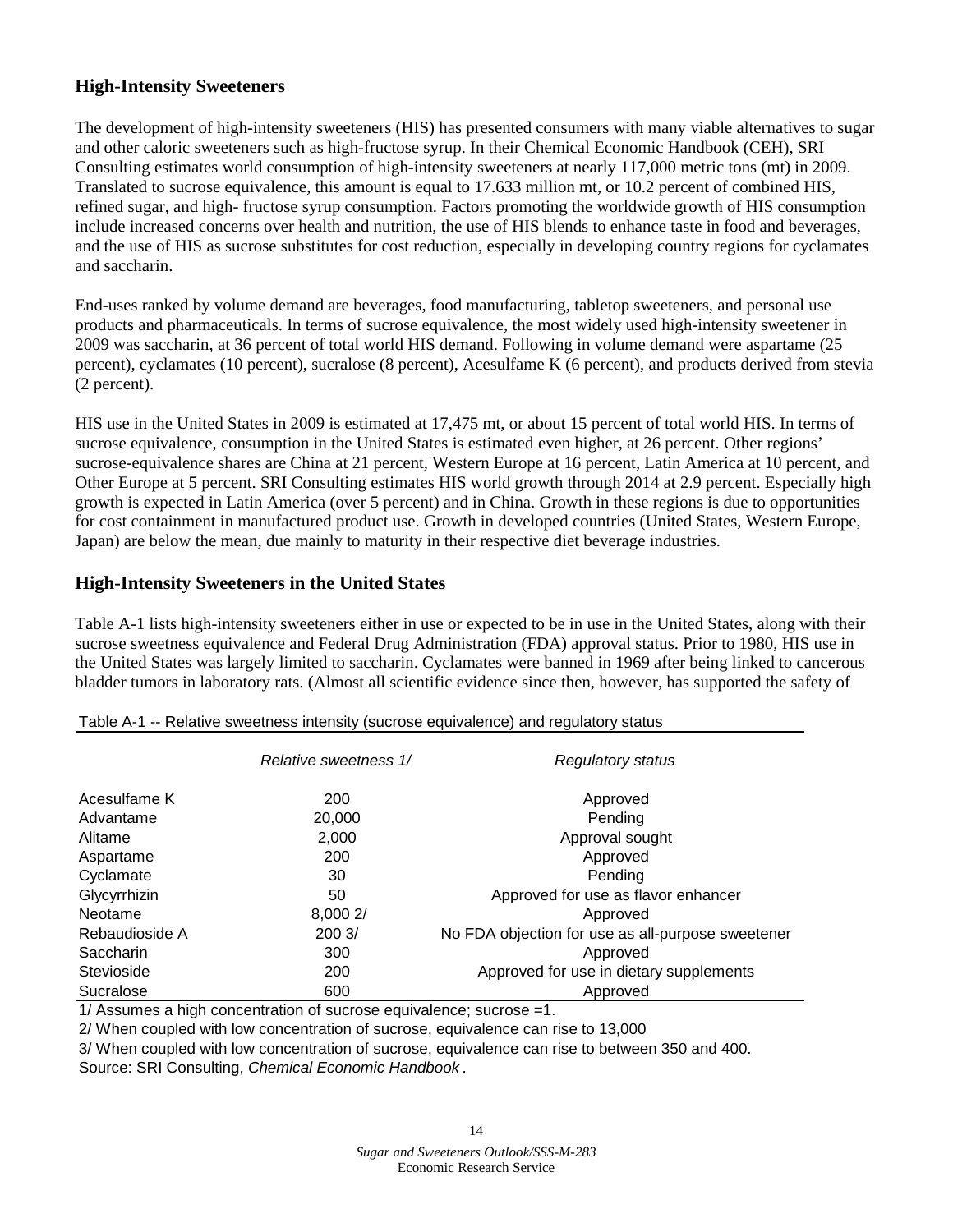## <span id="page-13-0"></span>**High-Intensity Sweeteners**

The development of high-intensity sweeteners (HIS) has presented consumers with many viable alternatives to sugar and other caloric sweeteners such as high-fructose syrup. In their Chemical Economic Handbook (CEH), SRI Consulting estimates world consumption of high-intensity sweeteners at nearly 117,000 metric tons (mt) in 2009. Translated to sucrose equivalence, this amount is equal to 17.633 million mt, or 10.2 percent of combined HIS, refined sugar, and high- fructose syrup consumption. Factors promoting the worldwide growth of HIS consumption include increased concerns over health and nutrition, the use of HIS blends to enhance taste in food and beverages, and the use of HIS as sucrose substitutes for cost reduction, especially in developing country regions for cyclamates and saccharin.

End-uses ranked by volume demand are beverages, food manufacturing, tabletop sweeteners, and personal use products and pharmaceuticals. In terms of sucrose equivalence, the most widely used high-intensity sweetener in 2009 was saccharin, at 36 percent of total world HIS demand. Following in volume demand were aspartame (25 percent), cyclamates (10 percent), sucralose (8 percent), Acesulfame K (6 percent), and products derived from stevia (2 percent).

HIS use in the United States in 2009 is estimated at 17,475 mt, or about 15 percent of total world HIS. In terms of sucrose equivalence, consumption in the United States is estimated even higher, at 26 percent. Other regions' sucrose-equivalence shares are China at 21 percent, Western Europe at 16 percent, Latin America at 10 percent, and Other Europe at 5 percent. SRI Consulting estimates HIS world growth through 2014 at 2.9 percent. Especially high growth is expected in Latin America (over 5 percent) and in China. Growth in these regions is due to opportunities for cost containment in manufactured product use. Growth in developed countries (United States, Western Europe, Japan) are below the mean, due mainly to maturity in their respective diet beverage industries.

#### **High-Intensity Sweeteners in the United States**

Table A-1 lists high-intensity sweeteners either in use or expected to be in use in the United States, along with their sucrose sweetness equivalence and Federal Drug Administration (FDA) approval status. Prior to 1980, HIS use in the United States was largely limited to saccharin. Cyclamates were banned in 1969 after being linked to cancerous bladder tumors in laboratory rats. (Almost all scientific evidence since then, however, has supported the safety of

|                | Relative sweetness 1/ | Regulatory status                                 |
|----------------|-----------------------|---------------------------------------------------|
| Acesulfame K   | 200                   | Approved                                          |
| Advantame      | 20,000                | Pending                                           |
| Alitame        | 2,000                 | Approval sought                                   |
| Aspartame      | 200                   | Approved                                          |
| Cyclamate      | 30                    | Pending                                           |
| Glycyrrhizin   | 50                    | Approved for use as flavor enhancer               |
| Neotame        | 8,000 2/              | Approved                                          |
| Rebaudioside A | $200 \frac{3}{2}$     | No FDA objection for use as all-purpose sweetener |
| Saccharin      | 300                   | Approved                                          |
| Stevioside     | 200                   | Approved for use in dietary supplements           |
| Sucralose      | 600                   | Approved                                          |

| Table A-1 -- Relative sweetness intensity (sucrose equivalence) and regulatory status |
|---------------------------------------------------------------------------------------|
|                                                                                       |

1/ Assumes a high concentration of sucrose equivalence; sucrose =1.

2/ When coupled with low concentration of sucrose, equivalence can rise to 13,000

3/ When coupled with low concentration of sucrose, equivalence can rise to between 350 and 400.

Source: SRI Consulting, *Chemical Economic Handbook* .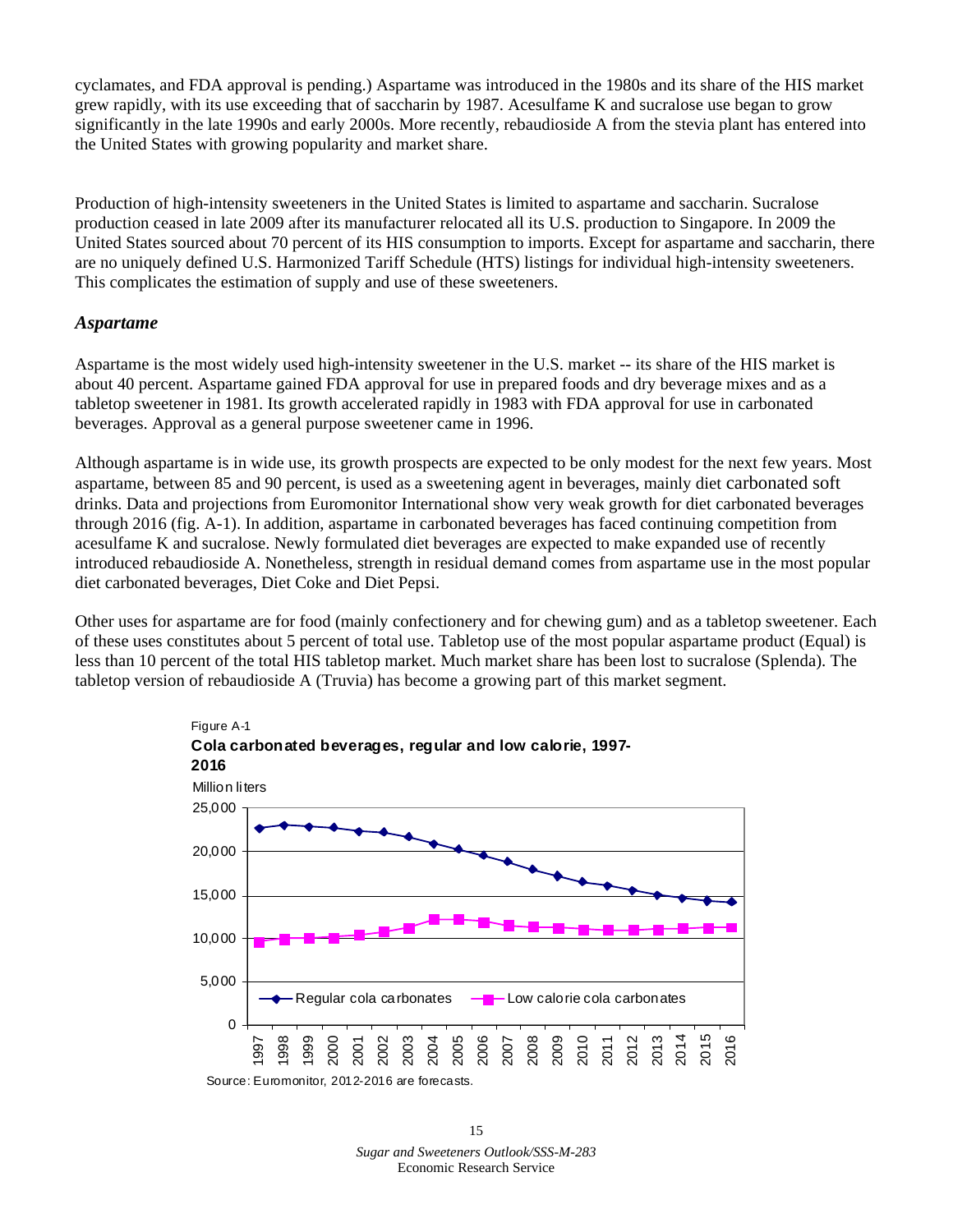cyclamates, and FDA approval is pending.) Aspartame was introduced in the 1980s and its share of the HIS market grew rapidly, with its use exceeding that of saccharin by 1987. Acesulfame K and sucralose use began to grow significantly in the late 1990s and early 2000s. More recently, rebaudioside A from the stevia plant has entered into the United States with growing popularity and market share.

Production of high-intensity sweeteners in the United States is limited to aspartame and saccharin. Sucralose production ceased in late 2009 after its manufacturer relocated all its U.S. production to Singapore. In 2009 the United States sourced about 70 percent of its HIS consumption to imports. Except for aspartame and saccharin, there are no uniquely defined U.S. Harmonized Tariff Schedule (HTS) listings for individual high-intensity sweeteners. This complicates the estimation of supply and use of these sweeteners.

#### *Aspartame*

Aspartame is the most widely used high-intensity sweetener in the U.S. market -- its share of the HIS market is about 40 percent. Aspartame gained FDA approval for use in prepared foods and dry beverage mixes and as a tabletop sweetener in 1981. Its growth accelerated rapidly in 1983 with FDA approval for use in carbonated beverages. Approval as a general purpose sweetener came in 1996.

Although aspartame is in wide use, its growth prospects are expected to be only modest for the next few years. Most aspartame, between 85 and 90 percent, is used as a sweetening agent in beverages, mainly diet carbonated soft drinks. Data and projections from Euromonitor International show very weak growth for diet carbonated beverages through 2016 (fig. A-1). In addition, aspartame in carbonated beverages has faced continuing competition from acesulfame K and sucralose. Newly formulated diet beverages are expected to make expanded use of recently introduced rebaudioside A. Nonetheless, strength in residual demand comes from aspartame use in the most popular diet carbonated beverages, Diet Coke and Diet Pepsi.

Other uses for aspartame are for food (mainly confectionery and for chewing gum) and as a tabletop sweetener. Each of these uses constitutes about 5 percent of total use. Tabletop use of the most popular aspartame product (Equal) is less than 10 percent of the total HIS tabletop market. Much market share has been lost to sucralose (Splenda). The tabletop version of rebaudioside A (Truvia) has become a growing part of this market segment.



Source: Euromonitor, 2012-2016 are forecasts.

*Sugar and Sweeteners Outlook/SSS-M-283*  Economic Research Service 15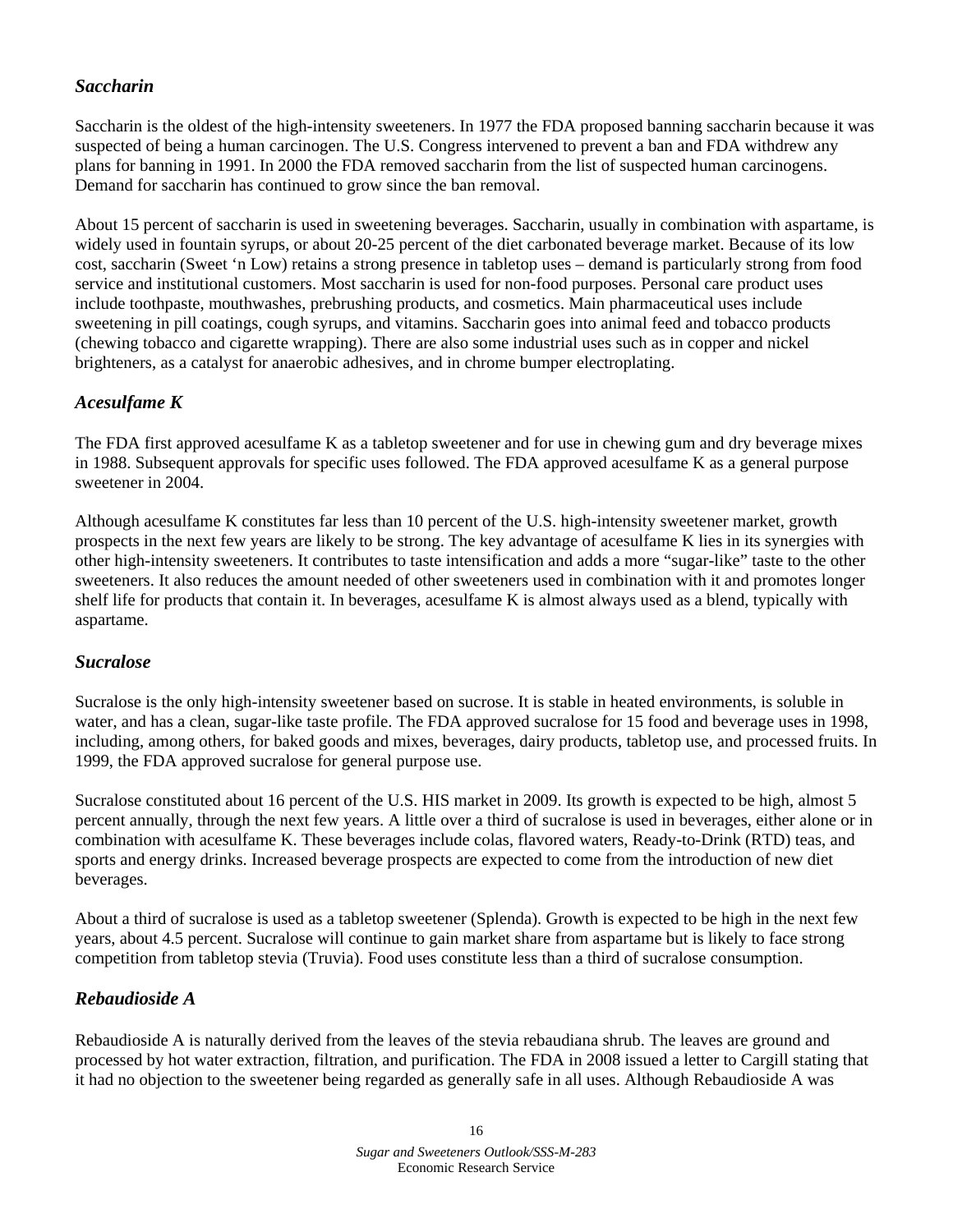### *Saccharin*

Saccharin is the oldest of the high-intensity sweeteners. In 1977 the FDA proposed banning saccharin because it was suspected of being a human carcinogen. The U.S. Congress intervened to prevent a ban and FDA withdrew any plans for banning in 1991. In 2000 the FDA removed saccharin from the list of suspected human carcinogens. Demand for saccharin has continued to grow since the ban removal.

About 15 percent of saccharin is used in sweetening beverages. Saccharin, usually in combination with aspartame, is widely used in fountain syrups, or about 20-25 percent of the diet carbonated beverage market. Because of its low cost, saccharin (Sweet 'n Low) retains a strong presence in tabletop uses – demand is particularly strong from food service and institutional customers. Most saccharin is used for non-food purposes. Personal care product uses include toothpaste, mouthwashes, prebrushing products, and cosmetics. Main pharmaceutical uses include sweetening in pill coatings, cough syrups, and vitamins. Saccharin goes into animal feed and tobacco products (chewing tobacco and cigarette wrapping). There are also some industrial uses such as in copper and nickel brighteners, as a catalyst for anaerobic adhesives, and in chrome bumper electroplating.

#### *Acesulfame K*

The FDA first approved acesulfame K as a tabletop sweetener and for use in chewing gum and dry beverage mixes in 1988. Subsequent approvals for specific uses followed. The FDA approved acesulfame K as a general purpose sweetener in 2004.

Although acesulfame K constitutes far less than 10 percent of the U.S. high-intensity sweetener market, growth prospects in the next few years are likely to be strong. The key advantage of acesulfame K lies in its synergies with other high-intensity sweeteners. It contributes to taste intensification and adds a more "sugar-like" taste to the other sweeteners. It also reduces the amount needed of other sweeteners used in combination with it and promotes longer shelf life for products that contain it. In beverages, acesulfame K is almost always used as a blend, typically with aspartame.

#### *Sucralose*

Sucralose is the only high-intensity sweetener based on sucrose. It is stable in heated environments, is soluble in water, and has a clean, sugar-like taste profile. The FDA approved sucralose for 15 food and beverage uses in 1998, including, among others, for baked goods and mixes, beverages, dairy products, tabletop use, and processed fruits. In 1999, the FDA approved sucralose for general purpose use.

Sucralose constituted about 16 percent of the U.S. HIS market in 2009. Its growth is expected to be high, almost 5 percent annually, through the next few years. A little over a third of sucralose is used in beverages, either alone or in combination with acesulfame K. These beverages include colas, flavored waters, Ready-to-Drink (RTD) teas, and sports and energy drinks. Increased beverage prospects are expected to come from the introduction of new diet beverages.

About a third of sucralose is used as a tabletop sweetener (Splenda). Growth is expected to be high in the next few years, about 4.5 percent. Sucralose will continue to gain market share from aspartame but is likely to face strong competition from tabletop stevia (Truvia). Food uses constitute less than a third of sucralose consumption.

#### *Rebaudioside A*

Rebaudioside A is naturally derived from the leaves of the stevia rebaudiana shrub. The leaves are ground and processed by hot water extraction, filtration, and purification. The FDA in 2008 issued a letter to Cargill stating that it had no objection to the sweetener being regarded as generally safe in all uses. Although Rebaudioside A was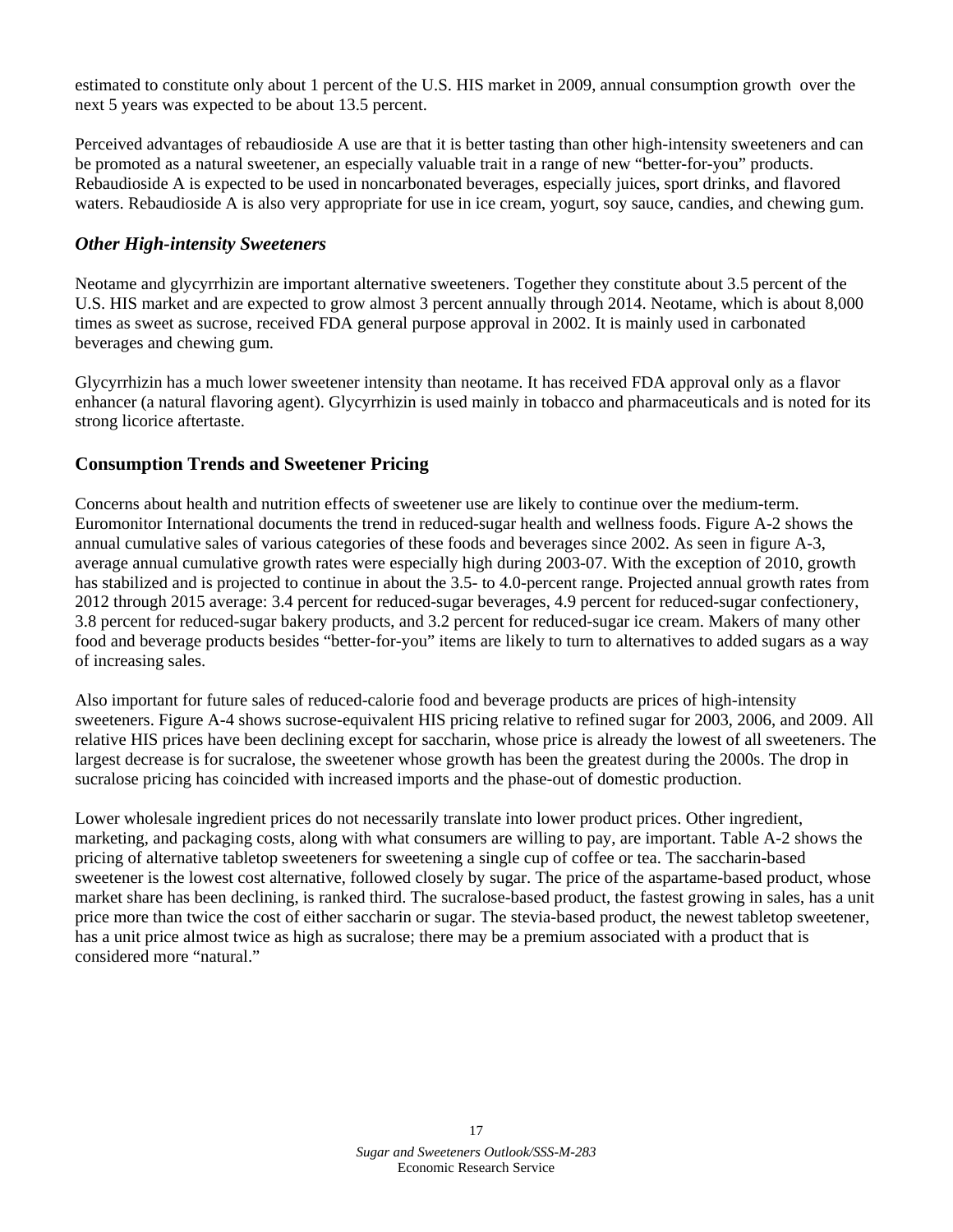estimated to constitute only about 1 percent of the U.S. HIS market in 2009, annual consumption growth over the next 5 years was expected to be about 13.5 percent.

Perceived advantages of rebaudioside A use are that it is better tasting than other high-intensity sweeteners and can be promoted as a natural sweetener, an especially valuable trait in a range of new "better-for-you" products. Rebaudioside A is expected to be used in noncarbonated beverages, especially juices, sport drinks, and flavored waters. Rebaudioside A is also very appropriate for use in ice cream, yogurt, soy sauce, candies, and chewing gum.

#### *Other High-intensity Sweeteners*

Neotame and glycyrrhizin are important alternative sweeteners. Together they constitute about 3.5 percent of the U.S. HIS market and are expected to grow almost 3 percent annually through 2014. Neotame, which is about 8,000 times as sweet as sucrose, received FDA general purpose approval in 2002. It is mainly used in carbonated beverages and chewing gum.

Glycyrrhizin has a much lower sweetener intensity than neotame. It has received FDA approval only as a flavor enhancer (a natural flavoring agent). Glycyrrhizin is used mainly in tobacco and pharmaceuticals and is noted for its strong licorice aftertaste.

#### **Consumption Trends and Sweetener Pricing**

Concerns about health and nutrition effects of sweetener use are likely to continue over the medium-term. Euromonitor International documents the trend in reduced-sugar health and wellness foods. Figure A-2 shows the annual cumulative sales of various categories of these foods and beverages since 2002. As seen in figure A-3, average annual cumulative growth rates were especially high during 2003-07. With the exception of 2010, growth has stabilized and is projected to continue in about the 3.5- to 4.0-percent range. Projected annual growth rates from 2012 through 2015 average: 3.4 percent for reduced-sugar beverages, 4.9 percent for reduced-sugar confectionery, 3.8 percent for reduced-sugar bakery products, and 3.2 percent for reduced-sugar ice cream. Makers of many other food and beverage products besides "better-for-you" items are likely to turn to alternatives to added sugars as a way of increasing sales.

Also important for future sales of reduced-calorie food and beverage products are prices of high-intensity sweeteners. Figure A-4 shows sucrose-equivalent HIS pricing relative to refined sugar for 2003, 2006, and 2009. All relative HIS prices have been declining except for saccharin, whose price is already the lowest of all sweeteners. The largest decrease is for sucralose, the sweetener whose growth has been the greatest during the 2000s. The drop in sucralose pricing has coincided with increased imports and the phase-out of domestic production.

Lower wholesale ingredient prices do not necessarily translate into lower product prices. Other ingredient, marketing, and packaging costs, along with what consumers are willing to pay, are important. Table A-2 shows the pricing of alternative tabletop sweeteners for sweetening a single cup of coffee or tea. The saccharin-based sweetener is the lowest cost alternative, followed closely by sugar. The price of the aspartame-based product, whose market share has been declining, is ranked third. The sucralose-based product, the fastest growing in sales, has a unit price more than twice the cost of either saccharin or sugar. The stevia-based product, the newest tabletop sweetener, has a unit price almost twice as high as sucralose; there may be a premium associated with a product that is considered more "natural."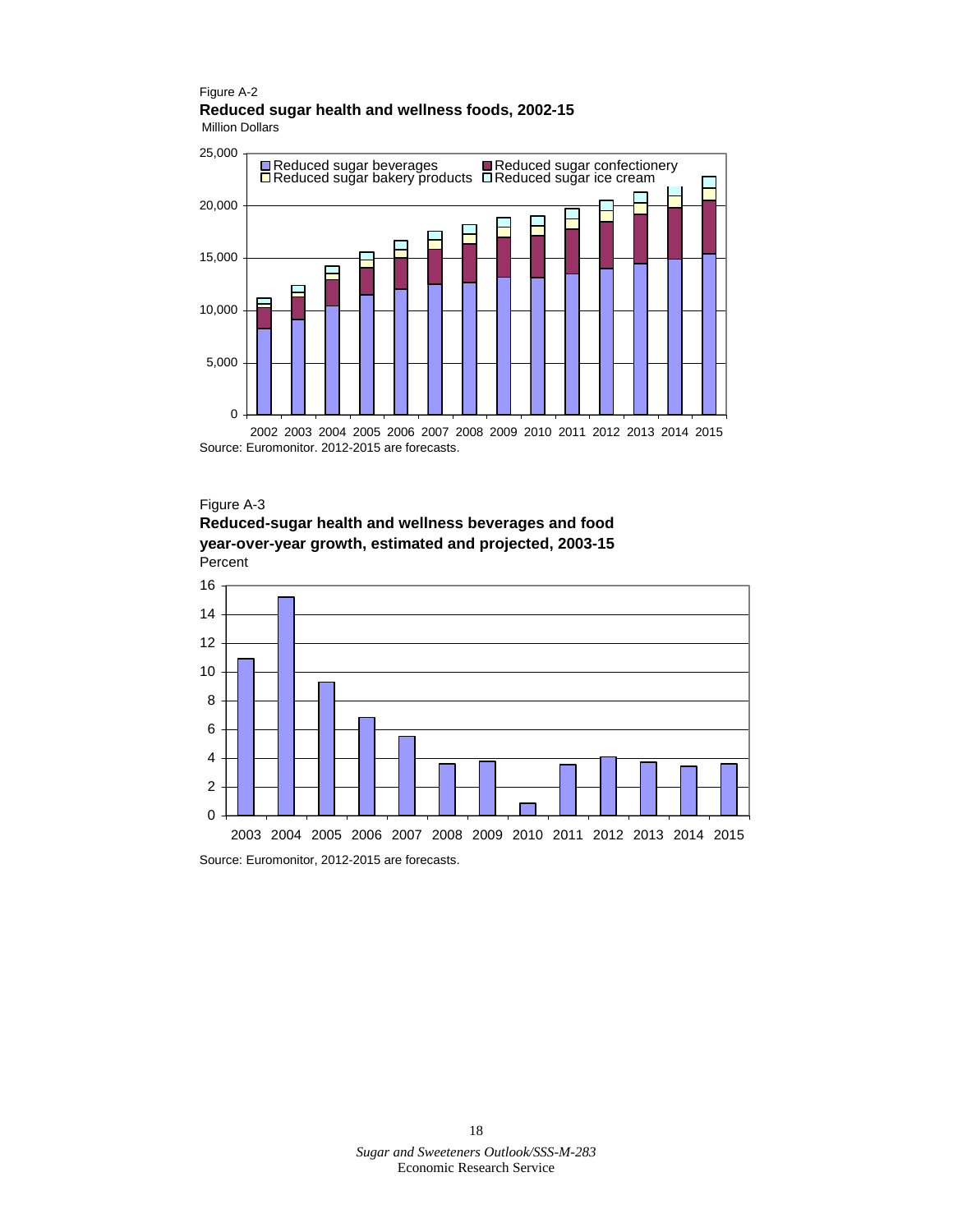## Figure A-2 **Reduced sugar health and wellness foods, 2002-15**

Million Dollars



Source: Euromonitor. 2012-2015 are forecasts.



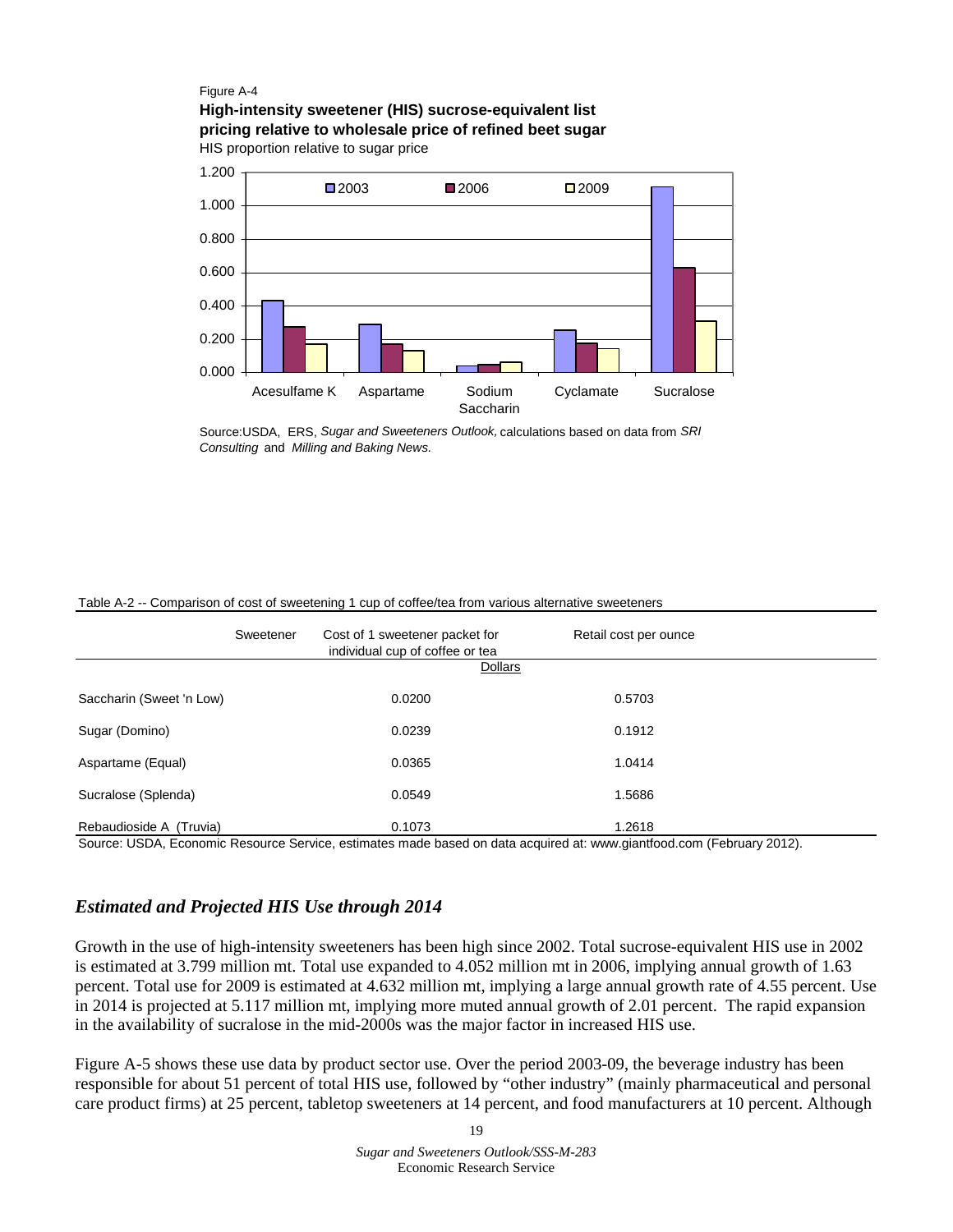#### Figure A-4

**High-intensity sweetener (HIS) sucrose-equivalent list pricing relative to wholesale price of refined beet sugar** HIS proportion relative to sugar price



Source:USDA, ERS, *Sugar and Sweeteners Outlook,* calculations based on data from *SRI Consulting* and *Milling and Baking News.*

|                          | Sweetener | Cost of 1 sweetener packet for<br>individual cup of coffee or tea | Retail cost per ounce                                                                                                            |  |
|--------------------------|-----------|-------------------------------------------------------------------|----------------------------------------------------------------------------------------------------------------------------------|--|
|                          |           | Dollars                                                           |                                                                                                                                  |  |
| Saccharin (Sweet 'n Low) |           | 0.0200                                                            | 0.5703                                                                                                                           |  |
| Sugar (Domino)           |           | 0.0239                                                            | 0.1912                                                                                                                           |  |
| Aspartame (Equal)        |           | 0.0365                                                            | 1.0414                                                                                                                           |  |
| Sucralose (Splenda)      |           | 0.0549                                                            | 1.5686                                                                                                                           |  |
| Rebaudioside A (Truvia)  |           | 0.1073                                                            | 1.2618<br>Course UCDA, Fessentia Depouse Comice, estimates mode board on data provinced at versus electional com (February 0040) |  |

#### Table A-2 -- Comparison of cost of sweetening 1 cup of coffee/tea from various alternative sweeteners

Source: USDA, Economic Resource Service, estimates made based on data acquired at: www.giantfood.com (February 2012).

#### *Estimated and Projected HIS Use through 2014*

Growth in the use of high-intensity sweeteners has been high since 2002. Total sucrose-equivalent HIS use in 2002 is estimated at 3.799 million mt. Total use expanded to 4.052 million mt in 2006, implying annual growth of 1.63 percent. Total use for 2009 is estimated at 4.632 million mt, implying a large annual growth rate of 4.55 percent. Use in 2014 is projected at 5.117 million mt, implying more muted annual growth of 2.01 percent. The rapid expansion in the availability of sucralose in the mid-2000s was the major factor in increased HIS use.

Figure A-5 shows these use data by product sector use. Over the period 2003-09, the beverage industry has been responsible for about 51 percent of total HIS use, followed by "other industry" (mainly pharmaceutical and personal care product firms) at 25 percent, tabletop sweeteners at 14 percent, and food manufacturers at 10 percent. Although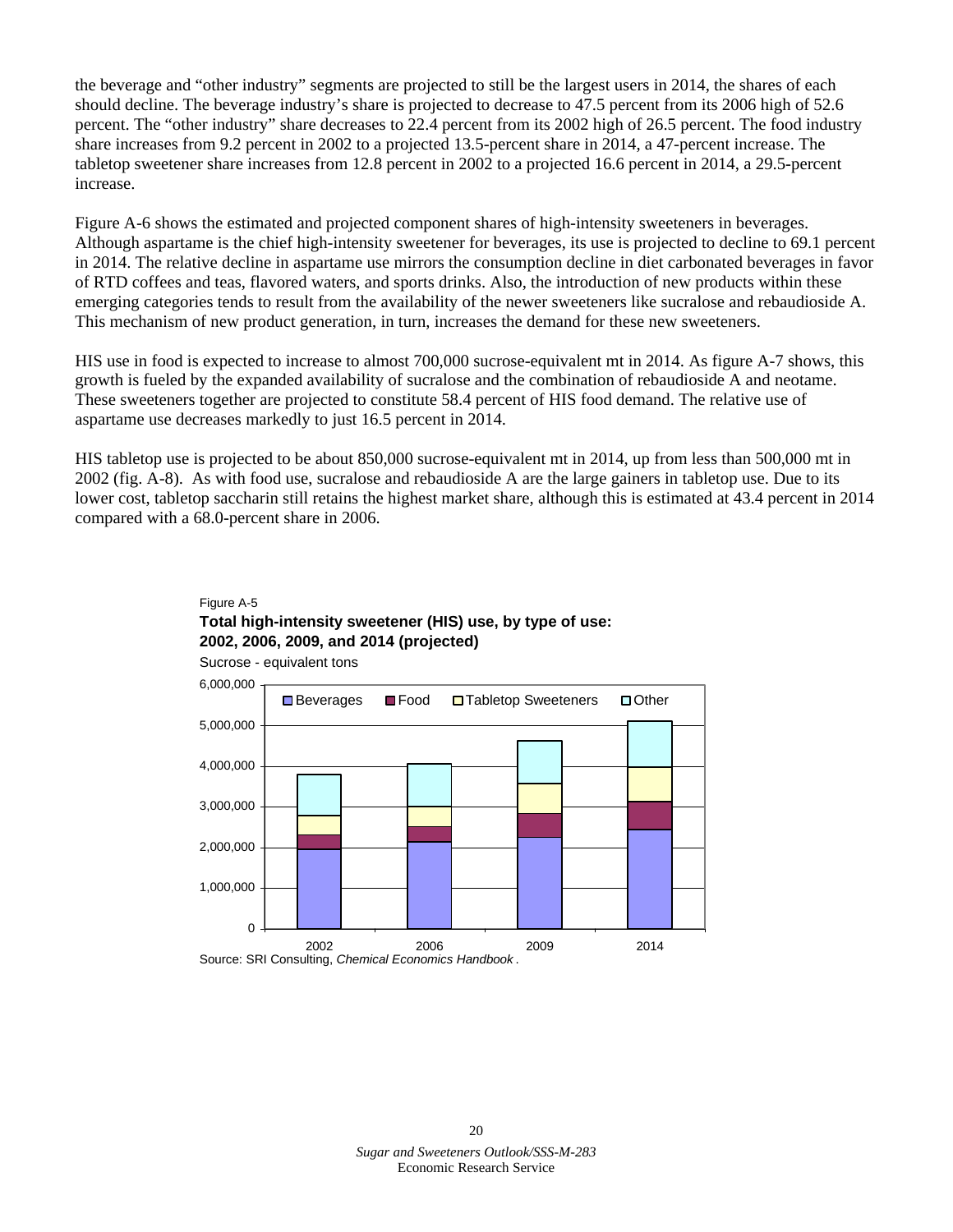the beverage and "other industry" segments are projected to still be the largest users in 2014, the shares of each should decline. The beverage industry's share is projected to decrease to 47.5 percent from its 2006 high of 52.6 percent. The "other industry" share decreases to 22.4 percent from its 2002 high of 26.5 percent. The food industry share increases from 9.2 percent in 2002 to a projected 13.5-percent share in 2014, a 47-percent increase. The tabletop sweetener share increases from 12.8 percent in 2002 to a projected 16.6 percent in 2014, a 29.5-percent increase.

Figure A-6 shows the estimated and projected component shares of high-intensity sweeteners in beverages. Although aspartame is the chief high-intensity sweetener for beverages, its use is projected to decline to 69.1 percent in 2014. The relative decline in aspartame use mirrors the consumption decline in diet carbonated beverages in favor of RTD coffees and teas, flavored waters, and sports drinks. Also, the introduction of new products within these emerging categories tends to result from the availability of the newer sweeteners like sucralose and rebaudioside A. This mechanism of new product generation, in turn, increases the demand for these new sweeteners.

HIS use in food is expected to increase to almost 700,000 sucrose-equivalent mt in 2014. As figure A-7 shows, this growth is fueled by the expanded availability of sucralose and the combination of rebaudioside A and neotame. These sweeteners together are projected to constitute 58.4 percent of HIS food demand. The relative use of aspartame use decreases markedly to just 16.5 percent in 2014.

HIS tabletop use is projected to be about 850,000 sucrose-equivalent mt in 2014, up from less than 500,000 mt in 2002 (fig. A-8). As with food use, sucralose and rebaudioside A are the large gainers in tabletop use. Due to its lower cost, tabletop saccharin still retains the highest market share, although this is estimated at 43.4 percent in 2014 compared with a 68.0-percent share in 2006.

#### Figure A-5 **Total high-intensity sweetener (HIS) use, by type of use: 2002, 2006, 2009, and 2014 (projected)**

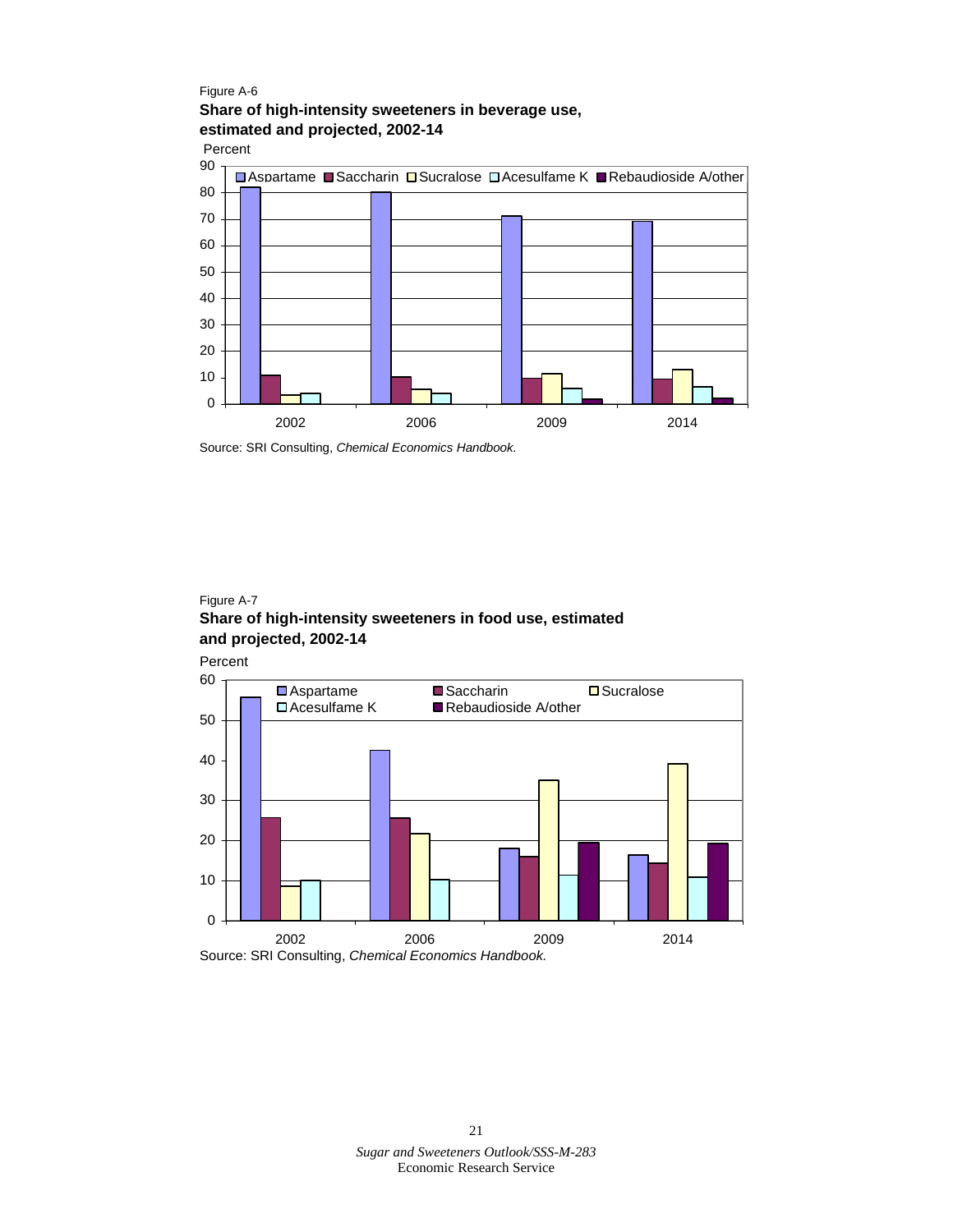#### Figure A-6 **Share of high-intensity sweeteners in beverage use, estimated and projected, 2002-14**



Source: SRI Consulting, *Chemical Economics Handbook.*

#### Figure A-7 **Share of high-intensity sweeteners in food use, estimated and projected, 2002-14**

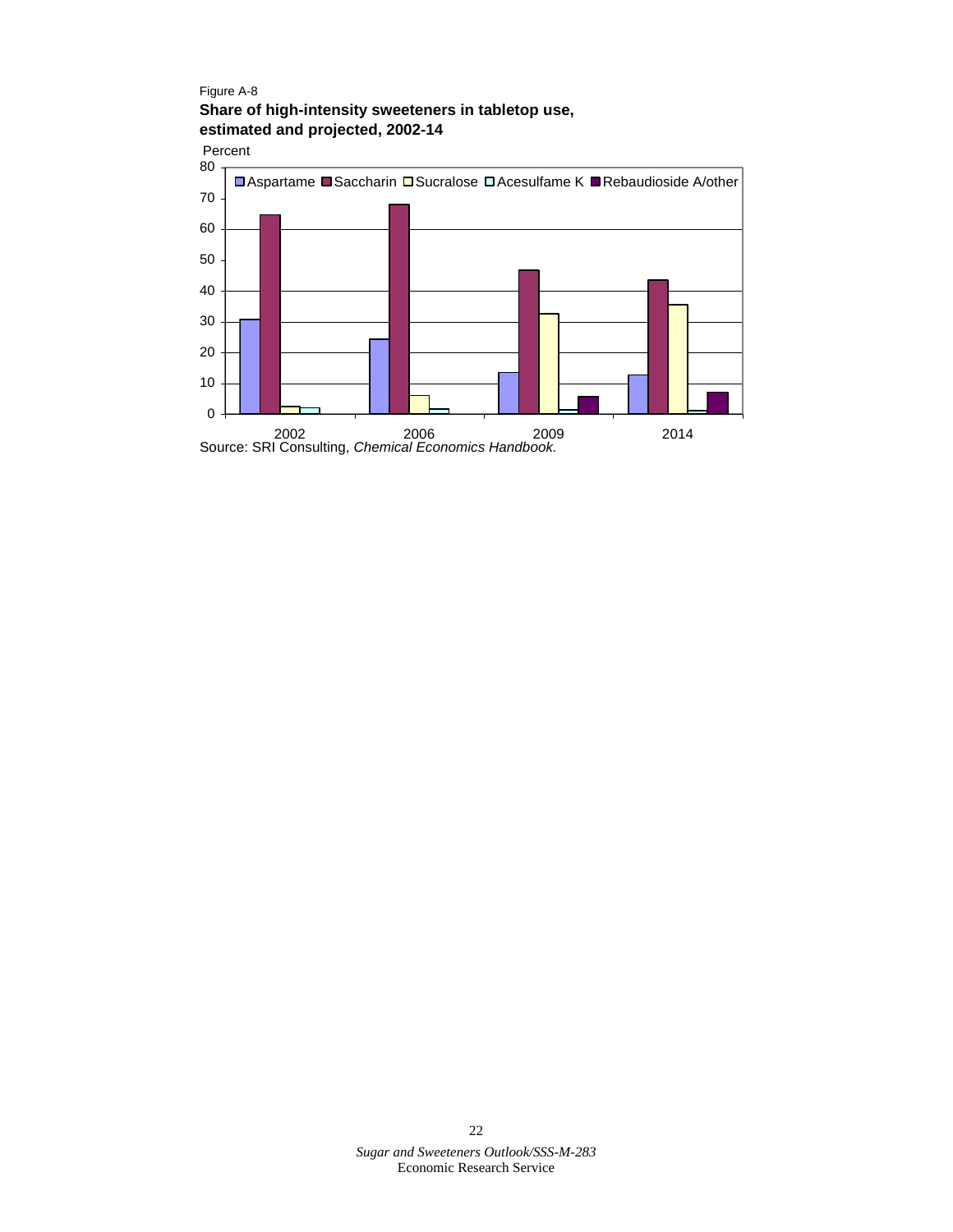#### Figure A-8 **Share of high-intensity sweeteners in tabletop use, estimated and projected, 2002-14**

0 10 20 30 40 50 60 70 80 2002 2006 2009 2014 Source: SRI Consulting, *Chemical Economics Handbook.* Percent **□ Aspartame ■ Saccharin □ Sucralose □ Acesulfame K ■ Rebaudioside A/other**